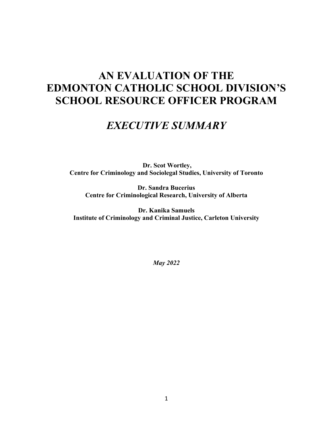# **AN EVALUATION OF THE EDMONTON CATHOLIC SCHOOL DIVISION'S SCHOOL RESOURCE OFFICER PROGRAM**

# *EXECUTIVE SUMMARY*

**Dr. Scot Wortley, Centre for Criminology and Sociolegal Studies, University of Toronto**

**Dr. Sandra Bucerius Centre for Criminological Research, University of Alberta**

**Dr. Kanika Samuels Institute of Criminology and Criminal Justice, Carleton University**

*May 2022*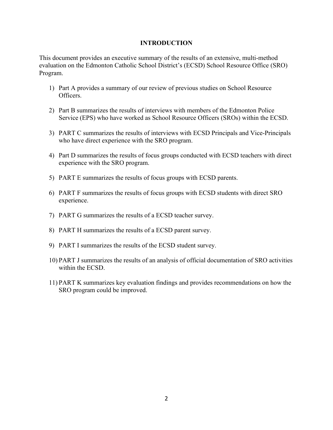### **INTRODUCTION**

This document provides an executive summary of the results of an extensive, multi-method evaluation on the Edmonton Catholic School District's (ECSD) School Resource Office (SRO) Program.

- 1) Part A provides a summary of our review of previous studies on School Resource Officers.
- 2) Part B summarizes the results of interviews with members of the Edmonton Police Service (EPS) who have worked as School Resource Officers (SROs) within the ECSD.
- 3) PART C summarizes the results of interviews with ECSD Principals and Vice-Principals who have direct experience with the SRO program.
- 4) Part D summarizes the results of focus groups conducted with ECSD teachers with direct experience with the SRO program.
- 5) PART E summarizes the results of focus groups with ECSD parents.
- 6) PART F summarizes the results of focus groups with ECSD students with direct SRO experience.
- 7) PART G summarizes the results of a ECSD teacher survey.
- 8) PART H summarizes the results of a ECSD parent survey.
- 9) PART I summarizes the results of the ECSD student survey.
- 10) PART J summarizes the results of an analysis of official documentation of SRO activities within the ECSD.
- 11) PART K summarizes key evaluation findings and provides recommendations on how the SRO program could be improved.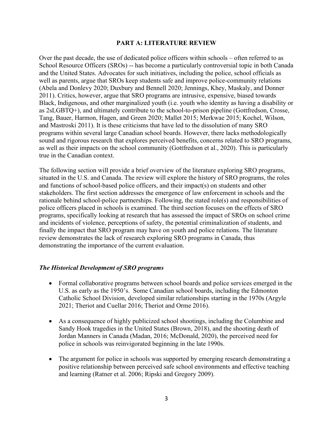#### **PART A: LITERATURE REVIEW**

Over the past decade, the use of dedicated police officers within schools – often referred to as School Resource Officers (SROs) -- has become a particularly controversial topic in both Canada and the United States. Advocates for such initiatives, including the police, school officials as well as parents, argue that SROs keep students safe and improve police-community relations (Abela and Donlevy 2020; Duxbury and Bennell 2020; Jennings, Khey, Maskaly, and Donner 2011). Critics, however, argue that SRO programs are intrusive, expensive, biased towards Black, Indigenous, and other marginalized youth (i.e. youth who identity as having a disability or as 2sLGBTQ+), and ultimately contribute to the school-to-prison pipeline (Gottfredson, Crosse, Tang, Bauer, Harmon, Hagen, and Green 2020; Mallet 2015; Merkwae 2015; Kochel, Wilson, and Mastroski 2011). It is these criticisms that have led to the dissolution of many SRO programs within several large Canadian school boards. However, there lacks methodologically sound and rigorous research that explores perceived benefits, concerns related to SRO programs, as well as their impacts on the school community (Gottfredson et al., 2020). This is particularly true in the Canadian context.

The following section will provide a brief overview of the literature exploring SRO programs, situated in the U.S. and Canada. The review will explore the history of SRO programs, the roles and functions of school-based police officers, and their impact(s) on students and other stakeholders. The first section addresses the emergence of law enforcement in schools and the rationale behind school-police partnerships. Following, the stated role(s) and responsibilities of police officers placed in schools is examined. The third section focuses on the effects of SRO programs, specifically looking at research that has assessed the impact of SROs on school crime and incidents of violence, perceptions of safety, the potential criminalization of students, and finally the impact that SRO program may have on youth and police relations. The literature review demonstrates the lack of research exploring SRO programs in Canada, thus demonstrating the importance of the current evaluation.

#### *The Historical Development of SRO programs*

- Formal collaborative programs between school boards and police services emerged in the U.S. as early as the 1950's. Some Canadian school boards, including the Edmonton Catholic School Division, developed similar relationships starting in the 1970s (Argyle 2021; Theriot and Cuellar 2016; Theriot and Orme 2016).
- As a consequence of highly publicized school shootings, including the Columbine and Sandy Hook tragedies in the United States (Brown, 2018), and the shooting death of Jordan Manners in Canada (Madan, 2016; McDonald, 2020), the perceived need for police in schools was reinvigorated beginning in the late 1990s.
- The argument for police in schools was supported by emerging research demonstrating a positive relationship between perceived safe school environments and effective teaching and learning (Ratner et al. 2006; Ripski and Gregory 2009).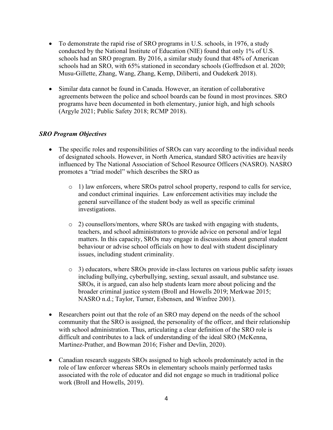- To demonstrate the rapid rise of SRO programs in U.S. schools, in 1976, a study conducted by the National Institute of Education (NIE) found that only 1% of U.S. schools had an SRO program. By 2016, a similar study found that 48% of American schools had an SRO, with 65% stationed in secondary schools (Goffredson et al. 2020; Musu-Gillette, Zhang, Wang, Zhang, Kemp, Diliberti, and Oudekerk 2018).
- Similar data cannot be found in Canada. However, an iteration of collaborative agreements between the police and school boards can be found in most provinces. SRO programs have been documented in both elementary, junior high, and high schools (Argyle 2021; Public Safety 2018; RCMP 2018).

### *SRO Program Objectives*

- The specific roles and responsibilities of SROs can vary according to the individual needs of designated schools. However, in North America, standard SRO activities are heavily influenced by The National Association of School Resource Officers (NASRO). NASRO promotes a "triad model" which describes the SRO as
	- o 1) law enforcers, where SROs patrol school property, respond to calls for service, and conduct criminal inquiries. Law enforcement activities may include the general surveillance of the student body as well as specific criminal investigations.
	- $\circ$  2) counsellors/mentors, where SROs are tasked with engaging with students, teachers, and school administrators to provide advice on personal and/or legal matters. In this capacity, SROs may engage in discussions about general student behaviour or advise school officials on how to deal with student disciplinary issues, including student criminality.
	- o 3) educators, where SROs provide in-class lectures on various public safety issues including bullying, cyberbullying, sexting, sexual assault, and substance use. SROs, it is argued, can also help students learn more about policing and the broader criminal justice system (Broll and Howells 2019; Merkwae 2015; NASRO n.d.; Taylor, Turner, Esbensen, and Winfree 2001).
- Researchers point out that the role of an SRO may depend on the needs of the school community that the SRO is assigned, the personality of the officer, and their relationship with school administration. Thus, articulating a clear definition of the SRO role is difficult and contributes to a lack of understanding of the ideal SRO (McKenna, Martinez-Prather, and Bowman 2016; Fisher and Devlin, 2020).
- Canadian research suggests SROs assigned to high schools predominately acted in the role of law enforcer whereas SROs in elementary schools mainly performed tasks associated with the role of educator and did not engage so much in traditional police work (Broll and Howells, 2019).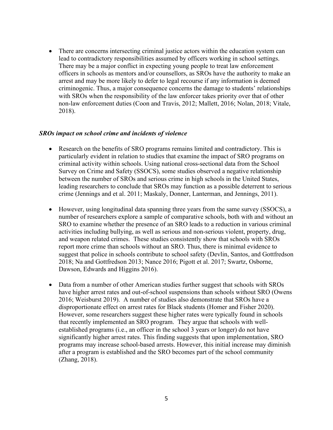• There are concerns intersecting criminal justice actors within the education system can lead to contradictory responsibilities assumed by officers working in school settings. There may be a major conflict in expecting young people to treat law enforcement officers in schools as mentors and/or counsellors, as SROs have the authority to make an arrest and may be more likely to defer to legal recourse if any information is deemed criminogenic. Thus, a major consequence concerns the damage to students' relationships with SROs when the responsibility of the law enforcer takes priority over that of other non-law enforcement duties (Coon and Travis, 2012; Mallett, 2016; Nolan, 2018; Vitale, 2018).

#### *SROs impact on school crime and incidents of violence*

- Research on the benefits of SRO programs remains limited and contradictory. This is particularly evident in relation to studies that examine the impact of SRO programs on criminal activity within schools. Using national cross-sectional data from the School Survey on Crime and Safety (SSOCS), some studies observed a negative relationship between the number of SROs and serious crime in high schools in the United States, leading researchers to conclude that SROs may function as a possible deterrent to serious crime (Jennings and et al. 2011; Maskaly, Donner, Lanterman, and Jennings, 2011).
- However, using longitudinal data spanning three years from the same survey (SSOCS), a number of researchers explore a sample of comparative schools, both with and without an SRO to examine whether the presence of an SRO leads to a reduction in various criminal activities including bullying, as well as serious and non-serious violent, property, drug, and weapon related crimes. These studies consistently show that schools with SROs report more crime than schools without an SRO. Thus, there is minimal evidence to suggest that police in schools contribute to school safety (Devlin, Santos, and Gottfredson 2018; Na and Gottfredson 2013; Nance 2016; Pigott et al. 2017; Swartz, Osborne, Dawson, Edwards and Higgins 2016).
- Data from a number of other American studies further suggest that schools with SROs have higher arrest rates and out-of-school suspensions than schools without SRO (Owens 2016; Weisburst 2019). A number of studies also demonstrate that SROs have a disproportionate effect on arrest rates for Black students (Homer and Fisher 2020). However, some researchers suggest these higher rates were typically found in schools that recently implemented an SRO program. They argue that schools with wellestablished programs (i.e., an officer in the school 3 years or longer) do not have significantly higher arrest rates. This finding suggests that upon implementation, SRO programs may increase school-based arrests. However, this initial increase may diminish after a program is established and the SRO becomes part of the school community (Zhang, 2018).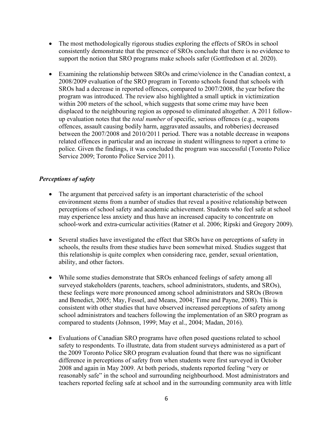- The most methodologically rigorous studies exploring the effects of SROs in school consistently demonstrate that the presence of SROs conclude that there is no evidence to support the notion that SRO programs make schools safer (Gottfredson et al. 2020).
- Examining the relationship between SROs and crime/violence in the Canadian context, a 2008/2009 evaluation of the SRO program in Toronto schools found that schools with SROs had a decrease in reported offences, compared to 2007/2008, the year before the program was introduced. The review also highlighted a small uptick in victimization within 200 meters of the school, which suggests that some crime may have been displaced to the neighbouring region as opposed to eliminated altogether. A 2011 followup evaluation notes that the *total number* of specific, serious offences (e.g., weapons offences, assault causing bodily harm, aggravated assaults, and robberies) decreased between the 2007/2008 and 2010/2011 period. There was a notable decrease in weapons related offences in particular and an increase in student willingness to report a crime to police. Given the findings, it was concluded the program was successful (Toronto Police Service 2009; Toronto Police Service 2011).

### *Perceptions of safety*

- The argument that perceived safety is an important characteristic of the school environment stems from a number of studies that reveal a positive relationship between perceptions of school safety and academic achievement. Students who feel safe at school may experience less anxiety and thus have an increased capacity to concentrate on school-work and extra-curricular activities (Ratner et al. 2006; Ripski and Gregory 2009).
- Several studies have investigated the effect that SROs have on perceptions of safety in schools, the results from these studies have been somewhat mixed. Studies suggest that this relationship is quite complex when considering race, gender, sexual orientation, ability, and other factors.
- While some studies demonstrate that SROs enhanced feelings of safety among all surveyed stakeholders (parents, teachers, school administrators, students, and SROs), these feelings were more pronounced among school administrators and SROs (Brown and Benedict, 2005; May, Fessel, and Means, 2004; Time and Payne, 2008). This is consistent with other studies that have observed increased perceptions of safety among school administrators and teachers following the implementation of an SRO program as compared to students (Johnson, 1999; May et al., 2004; Madan, 2016).
- Evaluations of Canadian SRO programs have often posed questions related to school safety to respondents. To illustrate, data from student surveys administered as a part of the 2009 Toronto Police SRO program evaluation found that there was no significant difference in perceptions of safety from when students were first surveyed in October 2008 and again in May 2009. At both periods, students reported feeling "very or reasonably safe" in the school and surrounding neighbourhood. Most administrators and teachers reported feeling safe at school and in the surrounding community area with little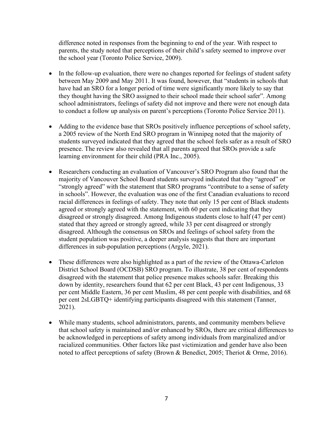difference noted in responses from the beginning to end of the year. With respect to parents, the study noted that perceptions of their child's safety seemed to improve over the school year (Toronto Police Service, 2009).

- In the follow-up evaluation, there were no changes reported for feelings of student safety between May 2009 and May 2011. It was found, however, that "students in schools that have had an SRO for a longer period of time were significantly more likely to say that they thought having the SRO assigned to their school made their school safer". Among school administrators, feelings of safety did not improve and there were not enough data to conduct a follow up analysis on parent's perceptions (Toronto Police Service 2011).
- Adding to the evidence base that SROs positively influence perceptions of school safety, a 2005 review of the North End SRO program in Winnipeg noted that the majority of students surveyed indicated that they agreed that the school feels safer as a result of SRO presence. The review also revealed that all parents agreed that SROs provide a safe learning environment for their child (PRA Inc., 2005).
- Researchers conducting an evaluation of Vancouver's SRO Program also found that the majority of Vancouver School Board students surveyed indicated that they "agreed" or "strongly agreed" with the statement that SRO programs "contribute to a sense of safety in schools". However, the evaluation was one of the first Canadian evaluations to record racial differences in feelings of safety. They note that only 15 per cent of Black students agreed or strongly agreed with the statement, with 60 per cent indicating that they disagreed or strongly disagreed. Among Indigenous students close to half (47 per cent) stated that they agreed or strongly agreed, while 33 per cent disagreed or strongly disagreed. Although the consensus on SROs and feelings of school safety from the student population was positive, a deeper analysis suggests that there are important differences in sub-population perceptions (Argyle, 2021).
- These differences were also highlighted as a part of the review of the Ottawa-Carleton District School Board (OCDSB) SRO program. To illustrate, 38 per cent of respondents disagreed with the statement that police presence makes schools safer. Breaking this down by identity, researchers found that 62 per cent Black, 43 per cent Indigenous, 33 per cent Middle Eastern, 36 per cent Muslim, 48 per cent people with disabilities, and 68 per cent 2sLGBTQ+ identifying participants disagreed with this statement (Tanner, 2021).
- While many students, school administrators, parents, and community members believe that school safety is maintained and/or enhanced by SROs, there are critical differences to be acknowledged in perceptions of safety among individuals from marginalized and/or racialized communities. Other factors like past victimization and gender have also been noted to affect perceptions of safety (Brown & Benedict, 2005; Theriot & Orme, 2016).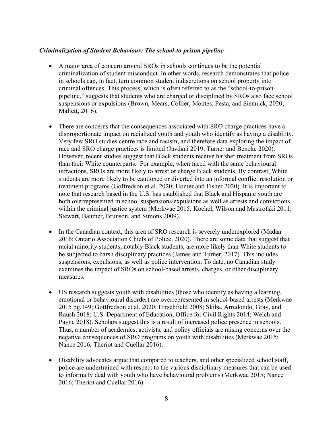#### *Criminalization of Student Behaviour: The school-to-prison pipeline*

- A major area of concern around SROs in schools continues to be the potential criminalization of student misconduct. In other words, research demonstrates that police in schools can, in fact, turn common student indiscretions on school property into criminal offences. This process, which is often referred to as the "school-to-prisonpipeline," suggests that students who are charged or disciplined by SROs also face school suspensions or expulsions (Brown, Mears, Collier, Montes, Pesta, and Siennick, 2020; Mallett, 2016).
- There are concerns that the consequences associated with SRO charge practices have a disproportionate impact on racialized youth and youth who identify as having a disability. Very few SRO studies centre race and racism, and therefore data exploring the impact of race and SRO charge practices is limited (Javdani 2019; Turner and Beneke 2020). However, recent studies suggest that Black students receive harsher treatment from SROs than their White counterparts. For example, when faced with the same behavioural infractions, SROs are more likely to arrest or charge Black students. By contrast, White students are more likely to be cautioned or diverted into an informal conflict resolution or treatment programs (Goffredson et al. 2020; Homer and Fisher 2020). It is important to note that research based in the U.S. has established that Black and Hispanic youth are both overrepresented in school suspensions/expulsions as well as arrests and convictions within the criminal justice system (Merkwae 2015; Kochel, Wilson and Mastrofski 2011; Stewart, Baumer, Brunson, and Simons 2009).
- In the Canadian context, this area of SRO research is severely underexplored (Madan 2016; Ontario Association Chiefs of Police, 2020). There are some data that suggest that racial minority students, notably Black students, are more likely than White students to be subjected to harsh disciplinary practices (James and Turner, 2017). This includes suspensions, expulsions, as well as police intervention. To date, no Canadian study examines the impact of SROs on school-based arrests, charges, or other disciplinary measures.
- US research suggests youth with disabilities (those who identify as having a learning, emotional or behavioural disorder) are overrepresented in school-based arrests (Merkwae 2015 pg.149; Gottfredson et al. 2020; Hirschfield 2008; Skiba, Arredondo, Gray, and Raush 2018; U.S. Department of Education, Office for Civil Rights 2014; Welch and Payne 2018). Scholars suggest this is a result of increased police presence in schools. Thus, a number of academics, activists, and policy officials are raising concerns over the negative consequences of SRO programs on youth with disabilities (Merkwae 2015; Nance 2016; Theriot and Cuellar 2016).
- Disability advocates argue that compared to teachers, and other specialized school staff, police are undertrained with respect to the various disciplinary measures that can be used to informally deal with youth who have behavioural problems (Merkwae 2015; Nance 2016; Theriot and Cuellar 2016).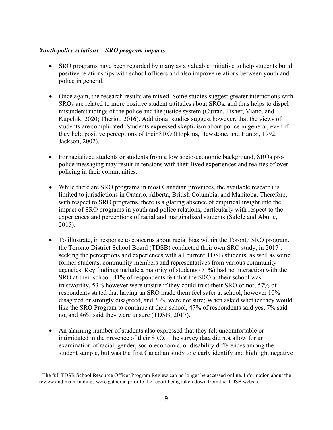#### *Youth-police relations – SRO program impacts*

- SRO programs have been regarded by many as a valuable initiative to help students build positive relationships with school officers and also improve relations between youth and police in general.
- Once again, the research results are mixed. Some studies suggest greater interactions with SROs are related to more positive student attitudes about SROs, and thus helps to dispel misunderstandings of the police and the justice system (Curran, Fisher, Viano, and Kupchik, 2020; Theriot, 2016). Additional studies suggest however, that the views of students are complicated. Students expressed skepticism about police in general, even if they held positive perceptions of their SRO (Hopkins, Hewstone, and Hantzi, 1992; Jackson, 2002).
- For racialized students or students from a low socio-economic background, SROs propolice messaging may result in tensions with their lived experiences and realties of overpolicing in their communities.
- While there are SRO programs in most Canadian provinces, the available research is limited to jurisdictions in Ontario, Alberta, British Columbia, and Manitoba. Therefore, with respect to SRO programs, there is a glaring absence of empirical insight into the impact of SRO programs in youth and police relations, particularly with respect to the experiences and perceptions of racial and marginalized students (Salole and Abulle, 2015).
- To illustrate, in response to concerns about racial bias within the Toronto SRO program, the Toronto District School Board (TDSB) conducted their own SRO study, in  $2017<sup>1</sup>$  $2017<sup>1</sup>$  $2017<sup>1</sup>$ , seeking the perceptions and experiences with all current TDSB students, as well as some former students, community members and representatives from various community agencies. Key findings include a majority of students (71%) had no interaction with the SRO at their school; 41% of respondents felt that the SRO at their school was trustworthy, 53% however were unsure if they could trust their SRO or not; 57% of respondents stated that having an SRO made them feel safer at school, however 10% disagreed or strongly disagreed, and 33% were not sure; When asked whether they would like the SRO Program to continue at their school, 47% of respondents said yes, 7% said no, and 46% said they were unsure (TDSB, 2017).
- An alarming number of students also expressed that they felt uncomfortable or intimidated in the presence of their SRO. The survey data did not allow for an examination of racial, gender, socio-economic, or disability differences among the student sample, but was the first Canadian study to clearly identify and highlight negative

<span id="page-8-0"></span><sup>&</sup>lt;sup>1</sup> The full TDSB School Resource Officer Program Review can no longer be accessed online. Information about the review and main findings were gathered prior to the report being taken down from the TDSB website.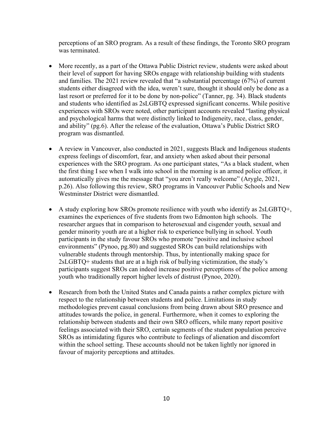perceptions of an SRO program. As a result of these findings, the Toronto SRO program was terminated.

- More recently, as a part of the Ottawa Public District review, students were asked about their level of support for having SROs engage with relationship building with students and families. The 2021 review revealed that "a substantial percentage (67%) of current students either disagreed with the idea, weren't sure, thought it should only be done as a last resort or preferred for it to be done by non-police" (Tanner, pg. 34). Black students and students who identified as 2sLGBTQ expressed significant concerns. While positive experiences with SROs were noted, other participant accounts revealed "lasting physical and psychological harms that were distinctly linked to Indigeneity, race, class, gender, and ability" (pg.6). After the release of the evaluation, Ottawa's Public District SRO program was dismantled.
- A review in Vancouver, also conducted in 2021, suggests Black and Indigenous students express feelings of discomfort, fear, and anxiety when asked about their personal experiences with the SRO program. As one participant states, "As a black student, when the first thing I see when I walk into school in the morning is an armed police officer, it automatically gives me the message that "you aren't really welcome" (Arygle, 2021, p.26). Also following this review, SRO programs in Vancouver Public Schools and New Westminster District were dismantled.
- A study exploring how SROs promote resilience with youth who identify as  $2sLGBTQ^+$ , examines the experiences of five students from two Edmonton high schools. The researcher argues that in comparison to heterosexual and cisgender youth, sexual and gender minority youth are at a higher risk to experience bullying in school. Youth participants in the study favour SROs who promote "positive and inclusive school environments" (Pynoo, pg.80) and suggested SROs can build relationships with vulnerable students through mentorship. Thus, by intentionally making space for 2sLGBTQ+ students that are at a high risk of bullying victimization, the study's participants suggest SROs can indeed increase positive perceptions of the police among youth who traditionally report higher levels of distrust (Pynoo, 2020).
- Research from both the United States and Canada paints a rather complex picture with respect to the relationship between students and police. Limitations in study methodologies prevent casual conclusions from being drawn about SRO presence and attitudes towards the police, in general. Furthermore, when it comes to exploring the relationship between students and their own SRO officers, while many report positive feelings associated with their SRO, certain segments of the student population perceive SROs as intimidating figures who contribute to feelings of alienation and discomfort within the school setting. These accounts should not be taken lightly nor ignored in favour of majority perceptions and attitudes.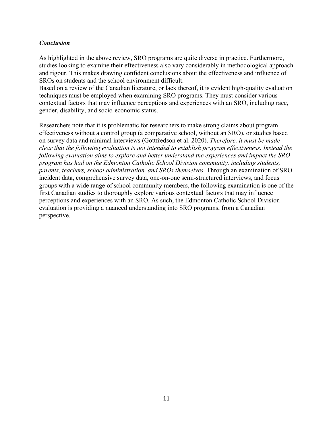### *Conclusion*

As highlighted in the above review, SRO programs are quite diverse in practice. Furthermore, studies looking to examine their effectiveness also vary considerably in methodological approach and rigour. This makes drawing confident conclusions about the effectiveness and influence of SROs on students and the school environment difficult.

Based on a review of the Canadian literature, or lack thereof, it is evident high-quality evaluation techniques must be employed when examining SRO programs. They must consider various contextual factors that may influence perceptions and experiences with an SRO, including race, gender, disability, and socio-economic status.

Researchers note that it is problematic for researchers to make strong claims about program effectiveness without a control group (a comparative school, without an SRO), or studies based on survey data and minimal interviews (Gottfredson et al. 2020). *Therefore, it must be made clear that the following evaluation is not intended to establish program effectiveness. Instead the following evaluation aims to explore and better understand the experiences and impact the SRO program has had on the Edmonton Catholic School Division community, including students, parents, teachers, school administration, and SROs themselves.* Through an examination of SRO incident data, comprehensive survey data, one-on-one semi-structured interviews, and focus groups with a wide range of school community members, the following examination is one of the first Canadian studies to thoroughly explore various contextual factors that may influence perceptions and experiences with an SRO. As such, the Edmonton Catholic School Division evaluation is providing a nuanced understanding into SRO programs, from a Canadian perspective.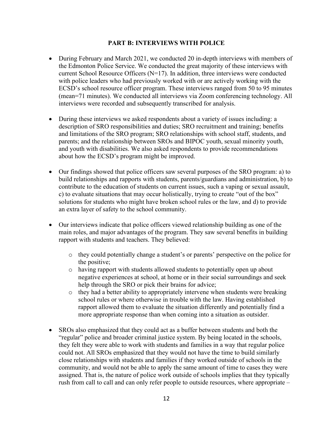### **PART B: INTERVIEWS WITH POLICE**

- During February and March 2021, we conducted 20 in-depth interviews with members of the Edmonton Police Service. We conducted the great majority of these interviews with current School Resource Officers (N=17). In addition, three interviews were conducted with police leaders who had previously worked with or are actively working with the ECSD's school resource officer program. These interviews ranged from 50 to 95 minutes (mean=71 minutes). We conducted all interviews via Zoom conferencing technology. All interviews were recorded and subsequently transcribed for analysis.
- During these interviews we asked respondents about a variety of issues including: a description of SRO responsibilities and duties; SRO recruitment and training; benefits and limitations of the SRO program; SRO relationships with school staff, students, and parents; and the relationship between SROs and BIPOC youth, sexual minority youth, and youth with disabilities. We also asked respondents to provide recommendations about how the ECSD's program might be improved.
- Our findings showed that police officers saw several purposes of the SRO program: a) to build relationships and rapports with students, parents/guardians and administration, b) to contribute to the education of students on current issues, such a vaping or sexual assault, c) to evaluate situations that may occur holistically, trying to create "out of the box" solutions for students who might have broken school rules or the law, and d) to provide an extra layer of safety to the school community.
- Our interviews indicate that police officers viewed relationship building as one of the main roles, and major advantages of the program. They saw several benefits in building rapport with students and teachers. They believed:
	- o they could potentially change a student's or parents' perspective on the police for the positive;
	- o having rapport with students allowed students to potentially open up about negative experiences at school, at home or in their social surroundings and seek help through the SRO or pick their brains for advice;
	- o they had a better ability to appropriately intervene when students were breaking school rules or where otherwise in trouble with the law. Having established rapport allowed them to evaluate the situation differently and potentially find a more appropriate response than when coming into a situation as outsider.
- SROs also emphasized that they could act as a buffer between students and both the "regular" police and broader criminal justice system. By being located in the schools, they felt they were able to work with students and families in a way that regular police could not. All SROs emphasized that they would not have the time to build similarly close relationships with students and families if they worked outside of schools in the community, and would not be able to apply the same amount of time to cases they were assigned. That is, the nature of police work outside of schools implies that they typically rush from call to call and can only refer people to outside resources, where appropriate –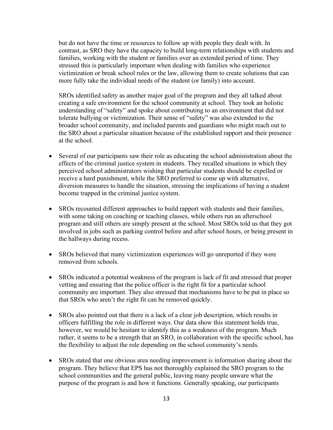but do not have the time or resources to follow up with people they dealt with. In contrast, as SRO they have the capacity to build long-term relationships with students and families, working with the student or families over an extended period of time. They stressed this is particularly important when dealing with families who experience victimization or break school rules or the law, allowing them to create solutions that can more fully take the individual needs of the student (or family) into account.

SROs identified safety as another major goal of the program and they all talked about creating a safe environment for the school community at school. They took an holistic understanding of "safety" and spoke about contributing to an environment that did not tolerate bullying or victimization. Their sense of "safety" was also extended to the broader school community, and included parents and guardians who might reach out to the SRO about a particular situation because of the established rapport and their presence at the school.

- Several of our participants saw their role as educating the school administration about the effects of the criminal justice system in students. They recalled situations in which they perceived school administrators wishing that particular students should be expelled or receive a hard punishment, while the SRO preferred to come up with alternative, diversion measures to handle the situation, stressing the implications of having a student become trapped in the criminal justice system.
- SROs recounted different approaches to build rapport with students and their families, with some taking on coaching or teaching classes, while others run an afterschool program and still others are simply present at the school. Most SROs told us that they got involved in jobs such as parking control before and after school hours, or being present in the hallways during recess.
- SROs believed that many victimization experiences will go unreported if they were removed from schools.
- SROs indicated a potential weakness of the program is lack of fit and stressed that proper vetting and ensuring that the police officer is the right fit for a particular school community are important. They also stressed that mechanisms have to be put in place so that SROs who aren't the right fit can be removed quickly.
- SROs also pointed out that there is a lack of a clear job description, which results in officers fulfilling the role in different ways. Our data show this statement holds true, however, we would be hesitant to identify this as a weakness of the program. Much rather, it seems to be a strength that an SRO, in collaboration with the specific school, has the flexibility to adjust the role depending on the school community's needs.
- SROs stated that one obvious area needing improvement is information sharing about the program. They believe that EPS has not thoroughly explained the SRO program to the school communities and the general public, leaving many people unware what the purpose of the program is and how it functions. Generally speaking, our participants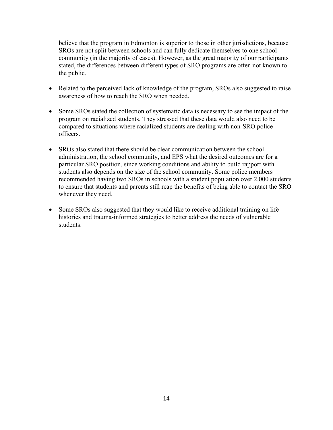believe that the program in Edmonton is superior to those in other jurisdictions, because SROs are not split between schools and can fully dedicate themselves to one school community (in the majority of cases). However, as the great majority of our participants stated, the differences between different types of SRO programs are often not known to the public.

- Related to the perceived lack of knowledge of the program, SROs also suggested to raise awareness of how to reach the SRO when needed.
- Some SROs stated the collection of systematic data is necessary to see the impact of the program on racialized students. They stressed that these data would also need to be compared to situations where racialized students are dealing with non-SRO police officers.
- SROs also stated that there should be clear communication between the school administration, the school community, and EPS what the desired outcomes are for a particular SRO position, since working conditions and ability to build rapport with students also depends on the size of the school community. Some police members recommended having two SROs in schools with a student population over 2,000 students to ensure that students and parents still reap the benefits of being able to contact the SRO whenever they need.
- Some SROs also suggested that they would like to receive additional training on life histories and trauma-informed strategies to better address the needs of vulnerable students.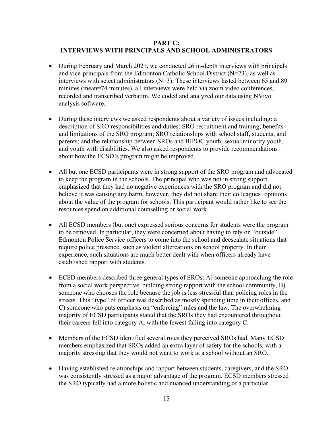### **PART C: INTERVIEWS WITH PRINCIPALS AND SCHOOL ADMINISTRATORS**

- During February and March 2021, we conducted 26 in-depth interviews with principals and vice-principals from the Edmonton Catholic School District (N=23), as well as interviews with select administrators (N=3). These interviews lasted between 65 and 89 minutes (mean=74 minutes), all interviews were held via zoom video conferences, recorded and transcribed verbatim. We coded and analyzed our data using NVivo analysis software.
- During these interviews we asked respondents about a variety of issues including: a description of SRO responsibilities and duties; SRO recruitment and training; benefits and limitations of the SRO program; SRO relationships with school staff, students, and parents; and the relationship between SROs and BIPOC youth, sexual minority youth, and youth with disabilities. We also asked respondents to provide recommendations about how the ECSD's program might be improved.
- All but one ECSD participants were in strong support of the SRO program and advocated to keep the program in the schools. The principal who was not in strong support emphasized that they had no negative experiences with the SRO program and did not believe it was causing any harm, however, they did not share their colleagues' opinions about the value of the program for schools. This participant would rather like to see the resources spend on additional counselling or social work.
- All ECSD members (but one) expressed serious concerns for students were the program to be removed. In particular, they were concerned about having to rely on "outside" Edmonton Police Service officers to come into the school and deescalate situations that require police presence, such as violent altercations on school property. In their experience, such situations are much better dealt with when officers already have established rapport with students.
- ECSD members described three general types of SROs: A) someone approaching the role from a social work perspective, building strong rapport with the school community, B) someone who chooses the role because the job is less stressful than policing roles in the streets. This "type" of officer was described as mostly spending time in their offices, and C) someone who puts emphasis on "enforcing" rules and the law. The overwhelming majority of ECSD participants stated that the SROs they had encountered throughout their careers fell into category A, with the fewest falling into category C.
- Members of the ECSD identified several roles they perceived SROs had. Many ECSD members emphasized that SROs added an extra layer of safety for the schools, with a majority stressing that they would not want to work at a school without an SRO.
- Having established relationships and rapport between students, caregivers, and the SRO was consistently stressed as a major advantage of the program. ECSD members stressed the SRO typically had a more holistic and nuanced understanding of a particular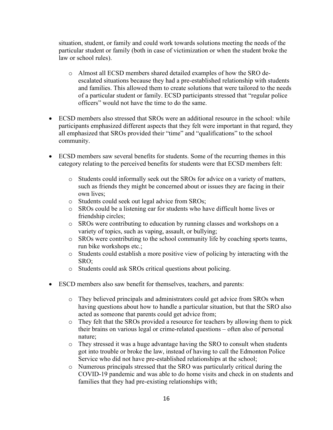situation, student, or family and could work towards solutions meeting the needs of the particular student or family (both in case of victimization or when the student broke the law or school rules).

- o Almost all ECSD members shared detailed examples of how the SRO deescalated situations because they had a pre-established relationship with students and families. This allowed them to create solutions that were tailored to the needs of a particular student or family. ECSD participants stressed that "regular police officers" would not have the time to do the same.
- ECSD members also stressed that SROs were an additional resource in the school: while participants emphasized different aspects that they felt were important in that regard, they all emphasized that SROs provided their "time" and "qualifications" to the school community.
- ECSD members saw several benefits for students. Some of the recurring themes in this category relating to the perceived benefits for students were that ECSD members felt:
	- o Students could informally seek out the SROs for advice on a variety of matters, such as friends they might be concerned about or issues they are facing in their own lives;
	- o Students could seek out legal advice from SROs;
	- o SROs could be a listening ear for students who have difficult home lives or friendship circles;
	- o SROs were contributing to education by running classes and workshops on a variety of topics, such as vaping, assault, or bullying;
	- o SROs were contributing to the school community life by coaching sports teams, run bike workshops etc.;
	- o Students could establish a more positive view of policing by interacting with the SRO;
	- o Students could ask SROs critical questions about policing.
- ESCD members also saw benefit for themselves, teachers, and parents:
	- o They believed principals and administrators could get advice from SROs when having questions about how to handle a particular situation, but that the SRO also acted as someone that parents could get advice from;
	- o They felt that the SROs provided a resource for teachers by allowing them to pick their brains on various legal or crime-related questions – often also of personal nature;
	- o They stressed it was a huge advantage having the SRO to consult when students got into trouble or broke the law, instead of having to call the Edmonton Police Service who did not have pre-established relationships at the school;
	- o Numerous principals stressed that the SRO was particularly critical during the COVID-19 pandemic and was able to do home visits and check in on students and families that they had pre-existing relationships with;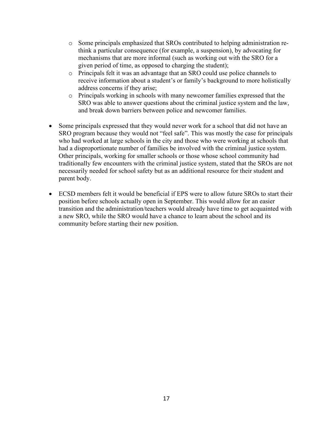- o Some principals emphasized that SROs contributed to helping administration rethink a particular consequence (for example, a suspension), by advocating for mechanisms that are more informal (such as working out with the SRO for a given period of time, as opposed to charging the student);
- o Principals felt it was an advantage that an SRO could use police channels to receive information about a student's or family's background to more holistically address concerns if they arise;
- o Principals working in schools with many newcomer families expressed that the SRO was able to answer questions about the criminal justice system and the law, and break down barriers between police and newcomer families.
- Some principals expressed that they would never work for a school that did not have an SRO program because they would not "feel safe". This was mostly the case for principals who had worked at large schools in the city and those who were working at schools that had a disproportionate number of families be involved with the criminal justice system. Other principals, working for smaller schools or those whose school community had traditionally few encounters with the criminal justice system, stated that the SROs are not necessarily needed for school safety but as an additional resource for their student and parent body.
- ECSD members felt it would be beneficial if EPS were to allow future SROs to start their position before schools actually open in September. This would allow for an easier transition and the administration/teachers would already have time to get acquainted with a new SRO, while the SRO would have a chance to learn about the school and its community before starting their new position.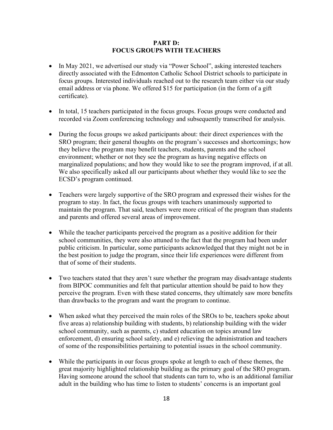#### **PART D: FOCUS GROUPS WITH TEACHERS**

- In May 2021, we advertised our study via "Power School", asking interested teachers directly associated with the Edmonton Catholic School District schools to participate in focus groups. Interested individuals reached out to the research team either via our study email address or via phone. We offered \$15 for participation (in the form of a gift certificate).
- In total, 15 teachers participated in the focus groups. Focus groups were conducted and recorded via Zoom conferencing technology and subsequently transcribed for analysis.
- During the focus groups we asked participants about: their direct experiences with the SRO program; their general thoughts on the program's successes and shortcomings; how they believe the program may benefit teachers, students, parents and the school environment; whether or not they see the program as having negative effects on marginalized populations; and how they would like to see the program improved, if at all. We also specifically asked all our participants about whether they would like to see the ECSD's program continued.
- Teachers were largely supportive of the SRO program and expressed their wishes for the program to stay. In fact, the focus groups with teachers unanimously supported to maintain the program. That said, teachers were more critical of the program than students and parents and offered several areas of improvement.
- While the teacher participants perceived the program as a positive addition for their school communities, they were also attuned to the fact that the program had been under public criticism. In particular, some participants acknowledged that they might not be in the best position to judge the program, since their life experiences were different from that of some of their students.
- Two teachers stated that they aren't sure whether the program may disadvantage students from BIPOC communities and felt that particular attention should be paid to how they perceive the program. Even with these stated concerns, they ultimately saw more benefits than drawbacks to the program and want the program to continue.
- When asked what they perceived the main roles of the SROs to be, teachers spoke about five areas a) relationship building with students, b) relationship building with the wider school community, such as parents, c) student education on topics around law enforcement, d) ensuring school safety, and e) relieving the administration and teachers of some of the responsibilities pertaining to potential issues in the school community.
- While the participants in our focus groups spoke at length to each of these themes, the great majority highlighted relationship building as the primary goal of the SRO program. Having someone around the school that students can turn to, who is an additional familiar adult in the building who has time to listen to students' concerns is an important goal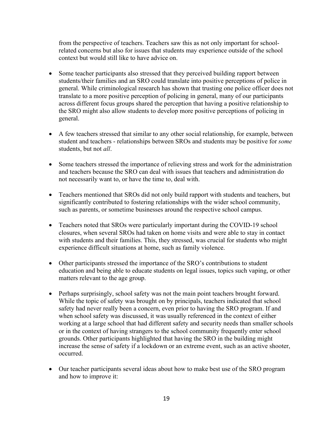from the perspective of teachers. Teachers saw this as not only important for schoolrelated concerns but also for issues that students may experience outside of the school context but would still like to have advice on.

- Some teacher participants also stressed that they perceived building rapport between students/their families and an SRO could translate into positive perceptions of police in general. While criminological research has shown that trusting one police officer does not translate to a more positive perception of policing in general, many of our participants across different focus groups shared the perception that having a positive relationship to the SRO might also allow students to develop more positive perceptions of policing in general.
- A few teachers stressed that similar to any other social relationship, for example, between student and teachers - relationships between SROs and students may be positive for *some* students, but not *all*.
- Some teachers stressed the importance of relieving stress and work for the administration and teachers because the SRO can deal with issues that teachers and administration do not necessarily want to, or have the time to, deal with.
- Teachers mentioned that SROs did not only build rapport with students and teachers, but significantly contributed to fostering relationships with the wider school community, such as parents, or sometime businesses around the respective school campus.
- Teachers noted that SROs were particularly important during the COVID-19 school closures, when several SROs had taken on home visits and were able to stay in contact with students and their families. This, they stressed, was crucial for students who might experience difficult situations at home, such as family violence.
- Other participants stressed the importance of the SRO's contributions to student education and being able to educate students on legal issues, topics such vaping, or other matters relevant to the age group.
- Perhaps surprisingly, school safety was not the main point teachers brought forward. While the topic of safety was brought on by principals, teachers indicated that school safety had never really been a concern, even prior to having the SRO program. If and when school safety was discussed, it was usually referenced in the context of either working at a large school that had different safety and security needs than smaller schools or in the context of having strangers to the school community frequently enter school grounds. Other participants highlighted that having the SRO in the building might increase the sense of safety if a lockdown or an extreme event, such as an active shooter, occurred.
- Our teacher participants several ideas about how to make best use of the SRO program and how to improve it: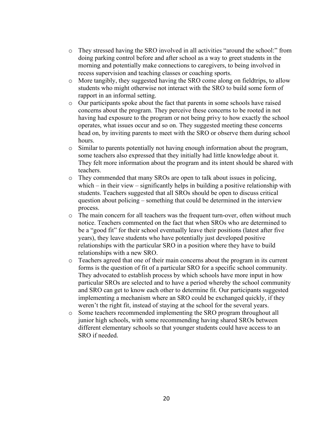- o They stressed having the SRO involved in all activities "around the school:" from doing parking control before and after school as a way to greet students in the morning and potentially make connections to caregivers, to being involved in recess supervision and teaching classes or coaching sports.
- o More tangibly, they suggested having the SRO come along on fieldtrips, to allow students who might otherwise not interact with the SRO to build some form of rapport in an informal setting.
- o Our participants spoke about the fact that parents in some schools have raised concerns about the program. They perceive these concerns to be rooted in not having had exposure to the program or not being privy to how exactly the school operates, what issues occur and so on. They suggested meeting these concerns head on, by inviting parents to meet with the SRO or observe them during school hours.
- $\circ$  Similar to parents potentially not having enough information about the program, some teachers also expressed that they initially had little knowledge about it. They felt more information about the program and its intent should be shared with teachers.
- o They commended that many SROs are open to talk about issues in policing, which – in their view – significantly helps in building a positive relationship with students. Teachers suggested that all SROs should be open to discuss critical question about policing – something that could be determined in the interview process.
- o The main concern for all teachers was the frequent turn-over, often without much notice. Teachers commented on the fact that when SROs who are determined to be a "good fit" for their school eventually leave their positions (latest after five years), they leave students who have potentially just developed positive relationships with the particular SRO in a position where they have to build relationships with a new SRO.
- o Teachers agreed that one of their main concerns about the program in its current forms is the question of fit of a particular SRO for a specific school community. They advocated to establish process by which schools have more input in how particular SROs are selected and to have a period whereby the school community and SRO can get to know each other to determine fit. Our participants suggested implementing a mechanism where an SRO could be exchanged quickly, if they weren't the right fit, instead of staying at the school for the several years.
- o Some teachers recommended implementing the SRO program throughout all junior high schools, with some recommending having shared SROs between different elementary schools so that younger students could have access to an SRO if needed.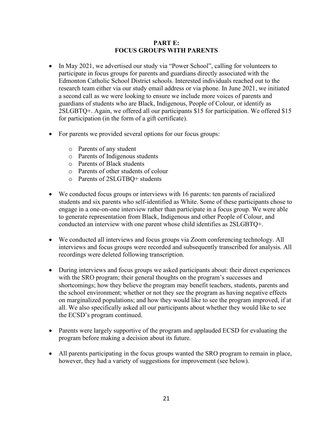#### **PART E: FOCUS GROUPS WITH PARENTS**

- In May 2021, we advertised our study via "Power School", calling for volunteers to participate in focus groups for parents and guardians directly associated with the Edmonton Catholic School District schools. Interested individuals reached out to the research team either via our study email address or via phone. In June 2021, we initiated a second call as we were looking to ensure we include more voices of parents and guardians of students who are Black, Indigenous, People of Colour, or identify as 2SLGBTQ+. Again, we offered all our participants \$15 for participation. We offered \$15 for participation (in the form of a gift certificate).
- For parents we provided several options for our focus groups:
	- o Parents of any student
	- o Parents of Indigenous students
	- o Parents of Black students
	- o Parents of other students of colour
	- o Parents of 2SLGTBQ+ students
- We conducted focus groups or interviews with 16 parents: ten parents of racialized students and six parents who self-identified as White. Some of these participants chose to engage in a one-on-one interview rather than participate in a focus group. We were able to generate representation from Black, Indigenous and other People of Colour, and conducted an interview with one parent whose child identifies as 2SLGBTQ+.
- We conducted all interviews and focus groups via Zoom conferencing technology. All interviews and focus groups were recorded and subsequently transcribed for analysis. All recordings were deleted following transcription.
- During interviews and focus groups we asked participants about: their direct experiences with the SRO program; their general thoughts on the program's successes and shortcomings; how they believe the program may benefit teachers, students, parents and the school environment; whether or not they see the program as having negative effects on marginalized populations; and how they would like to see the program improved, if at all. We also specifically asked all our participants about whether they would like to see the ECSD's program continued.
- Parents were largely supportive of the program and applauded ECSD for evaluating the program before making a decision about its future.
- All parents participating in the focus groups wanted the SRO program to remain in place, however, they had a variety of suggestions for improvement (see below).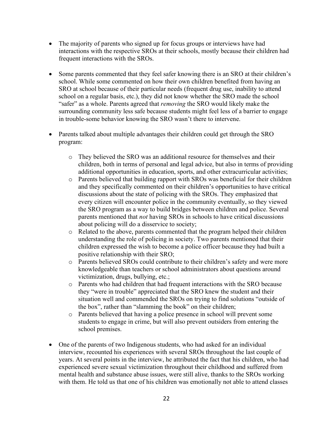- The majority of parents who signed up for focus groups or interviews have had interactions with the respective SROs at their schools, mostly because their children had frequent interactions with the SROs.
- Some parents commented that they feel safer knowing there is an SRO at their children's school. While some commented on how their own children benefited from having an SRO at school because of their particular needs (frequent drug use, inability to attend school on a regular basis, etc.), they did not know whether the SRO made the school "safer" as a whole. Parents agreed that *removing* the SRO would likely make the surrounding community less safe because students might feel less of a barrier to engage in trouble-some behavior knowing the SRO wasn't there to intervene.
- Parents talked about multiple advantages their children could get through the SRO program:
	- o They believed the SRO was an additional resource for themselves and their children, both in terms of personal and legal advice, but also in terms of providing additional opportunities in education, sports, and other extracurricular activities;
	- o Parents believed that building rapport with SROs was beneficial for their children and they specifically commented on their children's opportunities to have critical discussions about the state of policing with the SROs. They emphasized that every citizen will encounter police in the community eventually, so they viewed the SRO program as a way to build bridges between children and police. Several parents mentioned that *not* having SROs in schools to have critical discussions about policing will do a disservice to society;
	- o Related to the above, parents commented that the program helped their children understanding the role of policing in society. Two parents mentioned that their children expressed the wish to become a police officer because they had built a positive relationship with their SRO;
	- o Parents believed SROs could contribute to their children's safety and were more knowledgeable than teachers or school administrators about questions around victimization, drugs, bullying, etc.;
	- o Parents who had children that had frequent interactions with the SRO because they "were in trouble" appreciated that the SRO knew the student and their situation well and commended the SROs on trying to find solutions "outside of the box", rather than "slamming the book" on their children;
	- o Parents believed that having a police presence in school will prevent some students to engage in crime, but will also prevent outsiders from entering the school premises.
- One of the parents of two Indigenous students, who had asked for an individual interview, recounted his experiences with several SROs throughout the last couple of years. At several points in the interview, he attributed the fact that his children, who had experienced severe sexual victimization throughout their childhood and suffered from mental health and substance abuse issues, were still alive, thanks to the SROs working with them. He told us that one of his children was emotionally not able to attend classes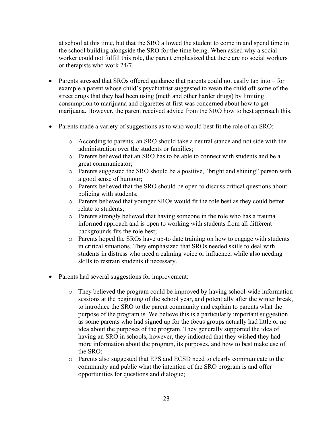at school at this time, but that the SRO allowed the student to come in and spend time in the school building alongside the SRO for the time being. When asked why a social worker could not fulfill this role, the parent emphasized that there are no social workers or therapists who work 24/7.

- Parents stressed that SROs offered guidance that parents could not easily tap into for example a parent whose child's psychiatrist suggested to wean the child off some of the street drugs that they had been using (meth and other harder drugs) by limiting consumption to marijuana and cigarettes at first was concerned about how to get marijuana. However, the parent received advice from the SRO how to best approach this.
- Parents made a variety of suggestions as to who would best fit the role of an SRO:
	- o According to parents, an SRO should take a neutral stance and not side with the administration over the students or families;
	- o Parents believed that an SRO has to be able to connect with students and be a great communicator;
	- o Parents suggested the SRO should be a positive, "bright and shining" person with a good sense of humour;
	- o Parents believed that the SRO should be open to discuss critical questions about policing with students;
	- o Parents believed that younger SROs would fit the role best as they could better relate to students;
	- o Parents strongly believed that having someone in the role who has a trauma informed approach and is open to working with students from all different backgrounds fits the role best;
	- o Parents hoped the SROs have up-to date training on how to engage with students in critical situations. They emphasized that SROs needed skills to deal with students in distress who need a calming voice or influence, while also needing skills to restrain students if necessary.
- Parents had several suggestions for improvement:
	- o They believed the program could be improved by having school-wide information sessions at the beginning of the school year, and potentially after the winter break, to introduce the SRO to the parent community and explain to parents what the purpose of the program is. We believe this is a particularly important suggestion as some parents who had signed up for the focus groups actually had little or no idea about the purposes of the program. They generally supported the idea of having an SRO in schools, however, they indicated that they wished they had more information about the program, its purposes, and how to best make use of the SRO;
	- o Parents also suggested that EPS and ECSD need to clearly communicate to the community and public what the intention of the SRO program is and offer opportunities for questions and dialogue;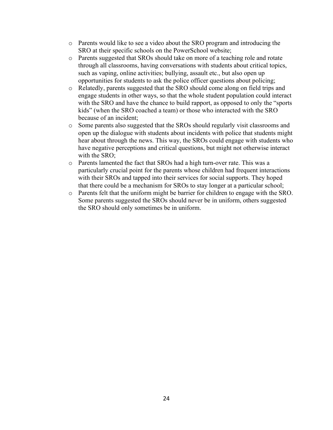- o Parents would like to see a video about the SRO program and introducing the SRO at their specific schools on the PowerSchool website;
- o Parents suggested that SROs should take on more of a teaching role and rotate through all classrooms, having conversations with students about critical topics, such as vaping, online activities; bullying, assault etc., but also open up opportunities for students to ask the police officer questions about policing;
- o Relatedly, parents suggested that the SRO should come along on field trips and engage students in other ways, so that the whole student population could interact with the SRO and have the chance to build rapport, as opposed to only the "sports" kids" (when the SRO coached a team) or those who interacted with the SRO because of an incident;
- o Some parents also suggested that the SROs should regularly visit classrooms and open up the dialogue with students about incidents with police that students might hear about through the news. This way, the SROs could engage with students who have negative perceptions and critical questions, but might not otherwise interact with the SRO;
- o Parents lamented the fact that SROs had a high turn-over rate. This was a particularly crucial point for the parents whose children had frequent interactions with their SROs and tapped into their services for social supports. They hoped that there could be a mechanism for SROs to stay longer at a particular school;
- o Parents felt that the uniform might be barrier for children to engage with the SRO. Some parents suggested the SROs should never be in uniform, others suggested the SRO should only sometimes be in uniform.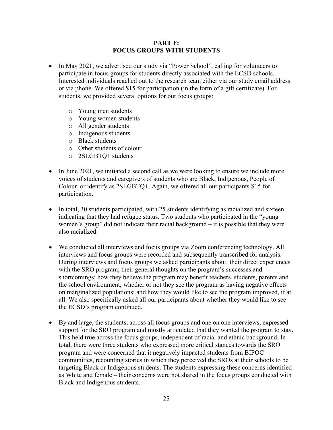#### **PART F: FOCUS GROUPS WITH STUDENTS**

- In May 2021, we advertised our study via "Power School", calling for volunteers to participate in focus groups for students directly associated with the ECSD schools. Interested individuals reached out to the research team either via our study email address or via phone. We offered \$15 for participation (in the form of a gift certificate). For students, we provided several options for our focus groups:
	- o Young men students
	- o Young women students
	- o All gender students
	- o Indigenous students
	- o Black students
	- o Other students of colour
	- o 2SLGBTQ+ students
- In June 2021, we initiated a second call as we were looking to ensure we include more voices of students and caregivers of students who are Black, Indigenous, People of Colour, or identify as 2SLGBTQ+. Again, we offered all our participants \$15 for participation.
- In total, 30 students participated, with 25 students identifying as racialized and sixteen indicating that they had refugee status. Two students who participated in the "young women's group" did not indicate their racial background – it is possible that they were also racialized.
- We conducted all interviews and focus groups via Zoom conferencing technology. All interviews and focus groups were recorded and subsequently transcribed for analysis. During interviews and focus groups we asked participants about: their direct experiences with the SRO program; their general thoughts on the program's successes and shortcomings; how they believe the program may benefit teachers, students, parents and the school environment; whether or not they see the program as having negative effects on marginalized populations; and how they would like to see the program improved, if at all. We also specifically asked all our participants about whether they would like to see the ECSD's program continued.
- By and large, the students, across all focus groups and one on one interviews, expressed support for the SRO program and mostly articulated that they wanted the program to stay. This held true across the focus groups, independent of racial and ethnic background. In total, there were three students who expressed more critical stances towards the SRO program and were concerned that it negatively impacted students from BIPOC communities, recounting stories in which they perceived the SROs at their schools to be targeting Black or Indigenous students. The students expressing these concerns identified as White and female – their concerns were not shared in the focus groups conducted with Black and Indigenous students.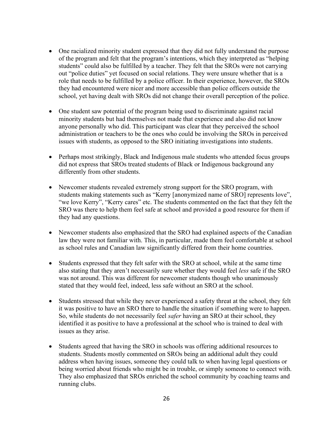- One racialized minority student expressed that they did not fully understand the purpose of the program and felt that the program's intentions, which they interpreted as "helping students" could also be fulfilled by a teacher. They felt that the SROs were not carrying out "police duties" yet focused on social relations. They were unsure whether that is a role that needs to be fulfilled by a police officer. In their experience, however, the SROs they had encountered were nicer and more accessible than police officers outside the school, yet having dealt with SROs did not change their overall perception of the police.
- One student saw potential of the program being used to discriminate against racial minority students but had themselves not made that experience and also did not know anyone personally who did. This participant was clear that they perceived the school administration or teachers to be the ones who could be involving the SROs in perceived issues with students, as opposed to the SRO initiating investigations into students.
- Perhaps most strikingly, Black and Indigenous male students who attended focus groups did not express that SROs treated students of Black or Indigenous background any differently from other students.
- Newcomer students revealed extremely strong support for the SRO program, with students making statements such as "Kerry [anonymized name of SRO] represents love", "we love Kerry", "Kerry cares" etc. The students commented on the fact that they felt the SRO was there to help them feel safe at school and provided a good resource for them if they had any questions.
- Newcomer students also emphasized that the SRO had explained aspects of the Canadian law they were not familiar with. This, in particular, made them feel comfortable at school as school rules and Canadian law significantly differed from their home countries.
- Students expressed that they felt safer with the SRO at school, while at the same time also stating that they aren't necessarily sure whether they would feel *less* safe if the SRO was not around. This was different for newcomer students though who unanimously stated that they would feel, indeed, less safe without an SRO at the school.
- Students stressed that while they never experienced a safety threat at the school, they felt it was positive to have an SRO there to handle the situation if something were to happen. So, while students do not necessarily feel *safer* having an SRO at their school, they identified it as positive to have a professional at the school who is trained to deal with issues as they arise.
- Students agreed that having the SRO in schools was offering additional resources to students. Students mostly commented on SROs being an additional adult they could address when having issues, someone they could talk to when having legal questions or being worried about friends who might be in trouble, or simply someone to connect with. They also emphasized that SROs enriched the school community by coaching teams and running clubs.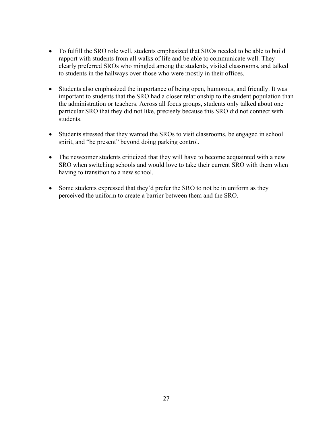- To fulfill the SRO role well, students emphasized that SROs needed to be able to build rapport with students from all walks of life and be able to communicate well. They clearly preferred SROs who mingled among the students, visited classrooms, and talked to students in the hallways over those who were mostly in their offices.
- Students also emphasized the importance of being open, humorous, and friendly. It was important to students that the SRO had a closer relationship to the student population than the administration or teachers. Across all focus groups, students only talked about one particular SRO that they did not like, precisely because this SRO did not connect with students.
- Students stressed that they wanted the SROs to visit classrooms, be engaged in school spirit, and "be present" beyond doing parking control.
- The newcomer students criticized that they will have to become acquainted with a new SRO when switching schools and would love to take their current SRO with them when having to transition to a new school.
- Some students expressed that they'd prefer the SRO to not be in uniform as they perceived the uniform to create a barrier between them and the SRO.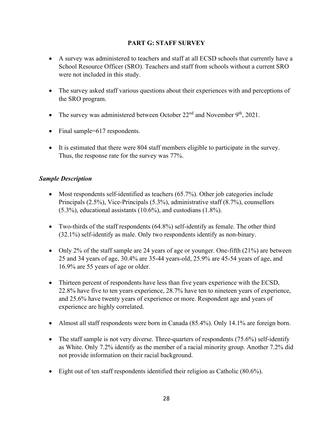### **PART G: STAFF SURVEY**

- A survey was administered to teachers and staff at all ECSD schools that currently have a School Resource Officer (SRO). Teachers and staff from schools without a current SRO were not included in this study.
- The survey asked staff various questions about their experiences with and perceptions of the SRO program.
- The survey was administered between October  $22<sup>nd</sup>$  and November  $9<sup>th</sup>$ , 2021.
- Final sample=617 respondents.
- It is estimated that there were 804 staff members eligible to participate in the survey. Thus, the response rate for the survey was 77%.

# *Sample Description*

- Most respondents self-identified as teachers (65.7%). Other job categories include Principals (2.5%), Vice-Principals (5.3%), administrative staff (8.7%), counsellors (5.3%), educational assistants (10.6%), and custodians (1.8%).
- Two-thirds of the staff respondents (64.8%) self-identify as female. The other third (32.1%) self-identify as male. Only two respondents identify as non-binary.
- Only 2% of the staff sample are 24 years of age or younger. One-fifth (21%) are between 25 and 34 years of age, 30.4% are 35-44 years-old, 25.9% are 45-54 years of age, and 16.9% are 55 years of age or older.
- Thirteen percent of respondents have less than five years experience with the ECSD, 22.8% have five to ten years experience, 28.7% have ten to nineteen years of experience, and 25.6% have twenty years of experience or more. Respondent age and years of experience are highly correlated.
- Almost all staff respondents were born in Canada (85.4%). Only 14.1% are foreign born.
- The staff sample is not very diverse. Three-quarters of respondents  $(75.6%)$  self-identify as White. Only 7.2% identify as the member of a racial minority group. Another 7.2% did not provide information on their racial background.
- Eight out of ten staff respondents identified their religion as Catholic (80.6%).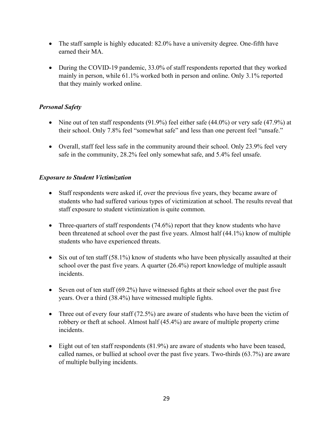- The staff sample is highly educated: 82.0% have a university degree. One-fifth have earned their MA.
- During the COVID-19 pandemic, 33.0% of staff respondents reported that they worked mainly in person, while 61.1% worked both in person and online. Only 3.1% reported that they mainly worked online.

### *Personal Safety*

- Nine out of ten staff respondents (91.9%) feel either safe (44.0%) or very safe (47.9%) at their school. Only 7.8% feel "somewhat safe" and less than one percent feel "unsafe."
- Overall, staff feel less safe in the community around their school. Only 23.9% feel very safe in the community, 28.2% feel only somewhat safe, and 5.4% feel unsafe.

### *Exposure to Student Victimization*

- Staff respondents were asked if, over the previous five years, they became aware of students who had suffered various types of victimization at school. The results reveal that staff exposure to student victimization is quite common.
- Three-quarters of staff respondents (74.6%) report that they know students who have been threatened at school over the past five years. Almost half (44.1%) know of multiple students who have experienced threats.
- Six out of ten staff (58.1%) know of students who have been physically assaulted at their school over the past five years. A quarter (26.4%) report knowledge of multiple assault incidents.
- Seven out of ten staff  $(69.2\%)$  have witnessed fights at their school over the past five years. Over a third (38.4%) have witnessed multiple fights.
- Three out of every four staff (72.5%) are aware of students who have been the victim of robbery or theft at school. Almost half (45.4%) are aware of multiple property crime incidents.
- Eight out of ten staff respondents (81.9%) are aware of students who have been teased, called names, or bullied at school over the past five years. Two-thirds (63.7%) are aware of multiple bullying incidents.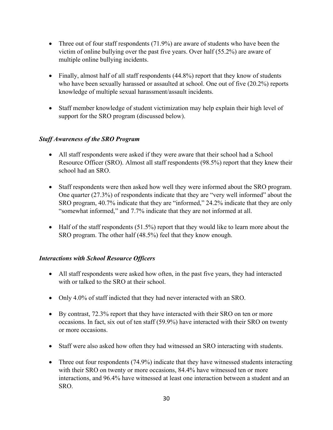- Three out of four staff respondents (71.9%) are aware of students who have been the victim of online bullying over the past five years. Over half (55.2%) are aware of multiple online bullying incidents.
- Finally, almost half of all staff respondents (44.8%) report that they know of students who have been sexually harassed or assaulted at school. One out of five (20.2%) reports knowledge of multiple sexual harassment/assault incidents.
- Staff member knowledge of student victimization may help explain their high level of support for the SRO program (discussed below).

### *Staff Awareness of the SRO Program*

- All staff respondents were asked if they were aware that their school had a School Resource Officer (SRO). Almost all staff respondents (98.5%) report that they knew their school had an SRO.
- Staff respondents were then asked how well they were informed about the SRO program. One quarter (27.3%) of respondents indicate that they are "very well informed" about the SRO program, 40.7% indicate that they are "informed," 24.2% indicate that they are only "somewhat informed," and 7.7% indicate that they are not informed at all.
- Half of the staff respondents (51.5%) report that they would like to learn more about the SRO program. The other half (48.5%) feel that they know enough.

# *Interactions with School Resource Officers*

- All staff respondents were asked how often, in the past five years, they had interacted with or talked to the SRO at their school.
- Only 4.0% of staff indicted that they had never interacted with an SRO.
- By contrast, 72.3% report that they have interacted with their SRO on ten or more occasions. In fact, six out of ten staff (59.9%) have interacted with their SRO on twenty or more occasions.
- Staff were also asked how often they had witnessed an SRO interacting with students.
- Three out four respondents (74.9%) indicate that they have witnessed students interacting with their SRO on twenty or more occasions, 84.4% have witnessed ten or more interactions, and 96.4% have witnessed at least one interaction between a student and an SRO.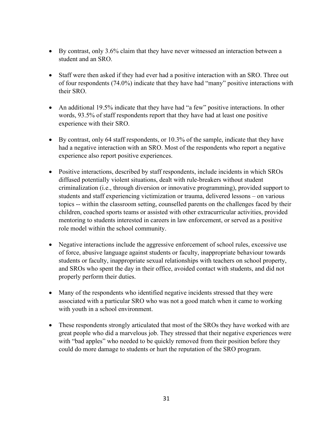- By contrast, only 3.6% claim that they have never witnessed an interaction between a student and an SRO.
- Staff were then asked if they had ever had a positive interaction with an SRO. Three out of four respondents (74.0%) indicate that they have had "many" positive interactions with their SRO.
- An additional 19.5% indicate that they have had "a few" positive interactions. In other words, 93.5% of staff respondents report that they have had at least one positive experience with their SRO.
- By contrast, only 64 staff respondents, or 10.3% of the sample, indicate that they have had a negative interaction with an SRO. Most of the respondents who report a negative experience also report positive experiences.
- Positive interactions, described by staff respondents, include incidents in which SROs diffused potentially violent situations, dealt with rule-breakers without student criminalization (i.e., through diversion or innovative programming), provided support to students and staff experiencing victimization or trauma, delivered lessons – on various topics -- within the classroom setting, counselled parents on the challenges faced by their children, coached sports teams or assisted with other extracurricular activities, provided mentoring to students interested in careers in law enforcement, or served as a positive role model within the school community.
- Negative interactions include the aggressive enforcement of school rules, excessive use of force, abusive language against students or faculty, inappropriate behaviour towards students or faculty, inappropriate sexual relationships with teachers on school property, and SROs who spent the day in their office, avoided contact with students, and did not properly perform their duties.
- Many of the respondents who identified negative incidents stressed that they were associated with a particular SRO who was not a good match when it came to working with youth in a school environment.
- These respondents strongly articulated that most of the SROs they have worked with are great people who did a marvelous job. They stressed that their negative experiences were with "bad apples" who needed to be quickly removed from their position before they could do more damage to students or hurt the reputation of the SRO program.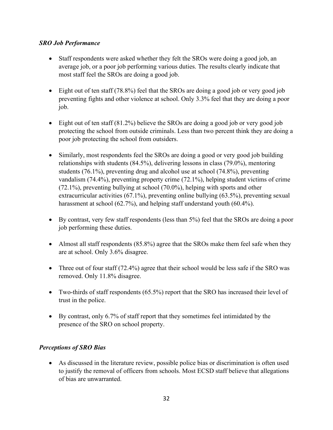### *SRO Job Performance*

- Staff respondents were asked whether they felt the SROs were doing a good job, an average job, or a poor job performing various duties. The results clearly indicate that most staff feel the SROs are doing a good job.
- Eight out of ten staff (78.8%) feel that the SROs are doing a good job or very good job preventing fights and other violence at school. Only 3.3% feel that they are doing a poor job.
- Eight out of ten staff (81.2%) believe the SROs are doing a good job or very good job protecting the school from outside criminals. Less than two percent think they are doing a poor job protecting the school from outsiders.
- Similarly, most respondents feel the SROs are doing a good or very good job building relationships with students (84.5%), delivering lessons in class (79.0%), mentoring students (76.1%), preventing drug and alcohol use at school (74.8%), preventing vandalism (74.4%), preventing property crime (72.1%), helping student victims of crime (72.1%), preventing bullying at school (70.0%), helping with sports and other extracurricular activities (67.1%), preventing online bullying (63.5%), preventing sexual harassment at school (62.7%), and helping staff understand youth (60.4%).
- By contrast, very few staff respondents (less than 5%) feel that the SROs are doing a poor job performing these duties.
- Almost all staff respondents (85.8%) agree that the SROs make them feel safe when they are at school. Only 3.6% disagree.
- Three out of four staff (72.4%) agree that their school would be less safe if the SRO was removed. Only 11.8% disagree.
- Two-thirds of staff respondents (65.5%) report that the SRO has increased their level of trust in the police.
- By contrast, only 6.7% of staff report that they sometimes feel intimidated by the presence of the SRO on school property.

# *Perceptions of SRO Bias*

• As discussed in the literature review, possible police bias or discrimination is often used to justify the removal of officers from schools. Most ECSD staff believe that allegations of bias are unwarranted.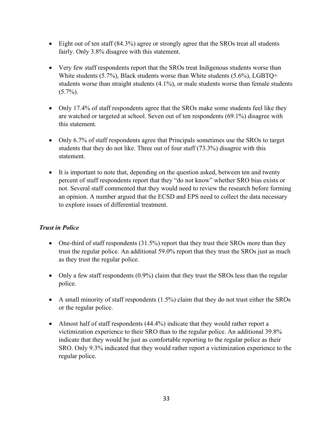- Eight out of ten staff (84.3%) agree or strongly agree that the SROs treat all students fairly. Only 3.8% disagree with this statement.
- Very few staff respondents report that the SROs treat Indigenous students worse than White students (5.7%), Black students worse than White students (5.6%), LGBTQ+ students worse than straight students (4.1%), or male students worse than female students  $(5.7\%)$ .
- Only 17.4% of staff respondents agree that the SROs make some students feel like they are watched or targeted at school. Seven out of ten respondents (69.1%) disagree with this statement.
- Only 6.7% of staff respondents agree that Principals sometimes use the SROs to target students that they do not like. Three out of four staff (73.3%) disagree with this statement.
- It is important to note that, depending on the question asked, between ten and twenty percent of staff respondents report that they "do not know" whether SRO bias exists or not. Several staff commented that they would need to review the research before forming an opinion. A number argued that the ECSD and EPS need to collect the data necessary to explore issues of differential treatment.

# *Trust in Police*

- One-third of staff respondents  $(31.5%)$  report that they trust their SROs more than they trust the regular police. An additional 59.0% report that they trust the SROs just as much as they trust the regular police.
- Only a few staff respondents (0.9%) claim that they trust the SROs less than the regular police.
- A small minority of staff respondents (1.5%) claim that they do not trust either the SROs or the regular police.
- Almost half of staff respondents (44.4%) indicate that they would rather report a victimization experience to their SRO than to the regular police. An additional 39.8% indicate that they would be just as comfortable reporting to the regular police as their SRO. Only 9.3% indicated that they would rather report a victimization experience to the regular police.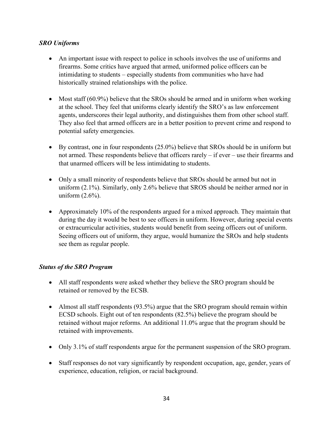### *SRO Uniforms*

- An important issue with respect to police in schools involves the use of uniforms and firearms. Some critics have argued that armed, uniformed police officers can be intimidating to students – especially students from communities who have had historically strained relationships with the police.
- Most staff (60.9%) believe that the SROs should be armed and in uniform when working at the school. They feel that uniforms clearly identify the SRO's as law enforcement agents, underscores their legal authority, and distinguishes them from other school staff. They also feel that armed officers are in a better position to prevent crime and respond to potential safety emergencies.
- By contrast, one in four respondents (25.0%) believe that SROs should be in uniform but not armed. These respondents believe that officers rarely – if ever – use their firearms and that unarmed officers will be less intimidating to students.
- Only a small minority of respondents believe that SROs should be armed but not in uniform (2.1%). Similarly, only 2.6% believe that SROS should be neither armed nor in uniform (2.6%).
- Approximately 10% of the respondents argued for a mixed approach. They maintain that during the day it would be best to see officers in uniform. However, during special events or extracurricular activities, students would benefit from seeing officers out of uniform. Seeing officers out of uniform, they argue, would humanize the SROs and help students see them as regular people.

### *Status of the SRO Program*

- All staff respondents were asked whether they believe the SRO program should be retained or removed by the ECSB.
- Almost all staff respondents (93.5%) argue that the SRO program should remain within ECSD schools. Eight out of ten respondents (82.5%) believe the program should be retained without major reforms. An additional 11.0% argue that the program should be retained with improvements.
- Only 3.1% of staff respondents argue for the permanent suspension of the SRO program.
- Staff responses do not vary significantly by respondent occupation, age, gender, years of experience, education, religion, or racial background.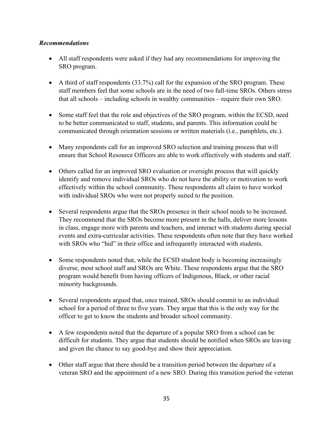### *Recommendations*

- All staff respondents were asked if they had any recommendations for improving the SRO program.
- A third of staff respondents (33.7%) call for the expansion of the SRO program. These staff members feel that some schools are in the need of two full-time SROs. Others stress that all schools – including schools in wealthy communities – require their own SRO.
- Some staff feel that the role and objectives of the SRO program, within the ECSD, need to be better communicated to staff, students, and parents. This information could be communicated through orientation sessions or written materials (i.e., pamphlets, etc.).
- Many respondents call for an improved SRO selection and training process that will ensure that School Resource Officers are able to work effectively with students and staff.
- Others called for an improved SRO evaluation or oversight process that will quickly identify and remove individual SROs who do not have the ability or motivation to work effectively within the school community. These respondents all claim to have worked with individual SROs who were not properly suited to the position.
- Several respondents argue that the SROs presence in their school needs to be increased. They recommend that the SROs become more present in the halls, deliver more lessons in class, engage more with parents and teachers, and interact with students during special events and extra-curricular activities. These respondents often note that they have worked with SROs who "hid" in their office and infrequently interacted with students.
- Some respondents noted that, while the ECSD student body is becoming increasingly diverse, most school staff and SROs are White. These respondents argue that the SRO program would benefit from having officers of Indigenous, Black, or other racial minority backgrounds.
- Several respondents argued that, once trained, SROs should commit to an individual school for a period of three to five years. They argue that this is the only way for the officer to get to know the students and broader school community.
- A few respondents noted that the departure of a popular SRO from a school can be difficult for students. They argue that students should be notified when SROs are leaving and given the chance to say good-bye and show their appreciation.
- Other staff argue that there should be a transition period between the departure of a veteran SRO and the appointment of a new SRO. During this transition period the veteran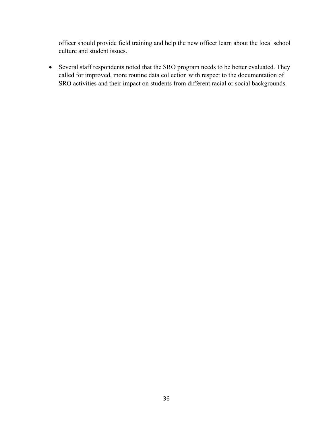officer should provide field training and help the new officer learn about the local school culture and student issues.

• Several staff respondents noted that the SRO program needs to be better evaluated. They called for improved, more routine data collection with respect to the documentation of SRO activities and their impact on students from different racial or social backgrounds.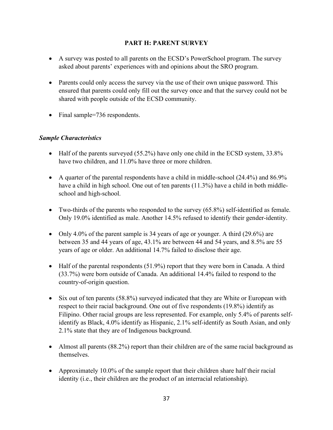### **PART H: PARENT SURVEY**

- A survey was posted to all parents on the ECSD's PowerSchool program. The survey asked about parents' experiences with and opinions about the SRO program.
- Parents could only access the survey via the use of their own unique password. This ensured that parents could only fill out the survey once and that the survey could not be shared with people outside of the ECSD community.
- Final sample=736 respondents.

### *Sample Characteristics*

- Half of the parents surveyed (55.2%) have only one child in the ECSD system, 33.8% have two children, and 11.0% have three or more children.
- A quarter of the parental respondents have a child in middle-school (24.4%) and 86.9% have a child in high school. One out of ten parents (11.3%) have a child in both middleschool and high-school.
- Two-thirds of the parents who responded to the survey (65.8%) self-identified as female. Only 19.0% identified as male. Another 14.5% refused to identify their gender-identity.
- Only 4.0% of the parent sample is 34 years of age or younger. A third (29.6%) are between 35 and 44 years of age, 43.1% are between 44 and 54 years, and 8.5% are 55 years of age or older. An additional 14.7% failed to disclose their age.
- Half of the parental respondents (51.9%) report that they were born in Canada. A third (33.7%) were born outside of Canada. An additional 14.4% failed to respond to the country-of-origin question.
- Six out of ten parents (58.8%) surveyed indicated that they are White or European with respect to their racial background. One out of five respondents (19.8%) identify as Filipino. Other racial groups are less represented. For example, only 5.4% of parents selfidentify as Black, 4.0% identify as Hispanic, 2.1% self-identify as South Asian, and only 2.1% state that they are of Indigenous background.
- Almost all parents (88.2%) report than their children are of the same racial background as themselves.
- Approximately 10.0% of the sample report that their children share half their racial identity (i.e., their children are the product of an interracial relationship).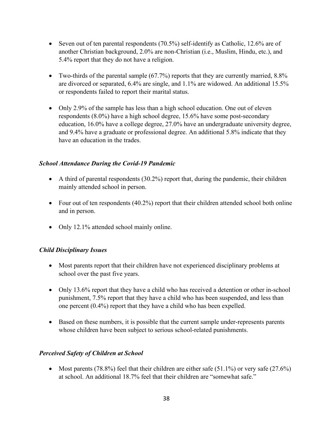- Seven out of ten parental respondents (70.5%) self-identify as Catholic, 12.6% are of another Christian background, 2.0% are non-Christian (i.e., Muslim, Hindu, etc.), and 5.4% report that they do not have a religion.
- Two-thirds of the parental sample  $(67.7%)$  reports that they are currently married,  $8.8%$ are divorced or separated, 6.4% are single, and 1.1% are widowed. An additional 15.5% or respondents failed to report their marital status.
- Only 2.9% of the sample has less than a high school education. One out of eleven respondents (8.0%) have a high school degree, 15.6% have some post-secondary education, 16.0% have a college degree, 27.0% have an undergraduate university degree, and 9.4% have a graduate or professional degree. An additional 5.8% indicate that they have an education in the trades.

### *School Attendance During the Covid-19 Pandemic*

- A third of parental respondents (30.2%) report that, during the pandemic, their children mainly attended school in person.
- Four out of ten respondents (40.2%) report that their children attended school both online and in person.
- Only 12.1% attended school mainly online.

### *Child Disciplinary Issues*

- Most parents report that their children have not experienced disciplinary problems at school over the past five years.
- Only 13.6% report that they have a child who has received a detention or other in-school punishment, 7.5% report that they have a child who has been suspended, and less than one percent (0.4%) report that they have a child who has been expelled.
- Based on these numbers, it is possible that the current sample under-represents parents whose children have been subject to serious school-related punishments.

#### *Perceived Safety of Children at School*

• Most parents (78.8%) feel that their children are either safe (51.1%) or very safe (27.6%) at school. An additional 18.7% feel that their children are "somewhat safe."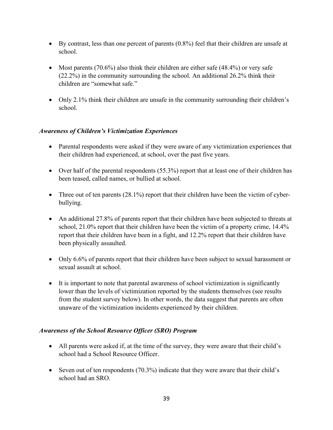- By contrast, less than one percent of parents (0.8%) feel that their children are unsafe at school.
- Most parents  $(70.6\%)$  also think their children are either safe  $(48.4\%)$  or very safe (22.2%) in the community surrounding the school. An additional 26.2% think their children are "somewhat safe."
- Only 2.1% think their children are unsafe in the community surrounding their children's school.

### *Awareness of Children's Victimization Experiences*

- Parental respondents were asked if they were aware of any victimization experiences that their children had experienced, at school, over the past five years.
- Over half of the parental respondents  $(55.3\%)$  report that at least one of their children has been teased, called names, or bullied at school.
- Three out of ten parents (28.1%) report that their children have been the victim of cyberbullying.
- An additional 27.8% of parents report that their children have been subjected to threats at school, 21.0% report that their children have been the victim of a property crime, 14.4% report that their children have been in a fight, and 12.2% report that their children have been physically assaulted.
- Only 6.6% of parents report that their children have been subject to sexual harassment or sexual assault at school.
- It is important to note that parental awareness of school victimization is significantly lower than the levels of victimization reported by the students themselves (see results from the student survey below). In other words, the data suggest that parents are often unaware of the victimization incidents experienced by their children.

### *Awareness of the School Resource Officer (SRO) Program*

- All parents were asked if, at the time of the survey, they were aware that their child's school had a School Resource Officer.
- Seven out of ten respondents (70.3%) indicate that they were aware that their child's school had an SRO.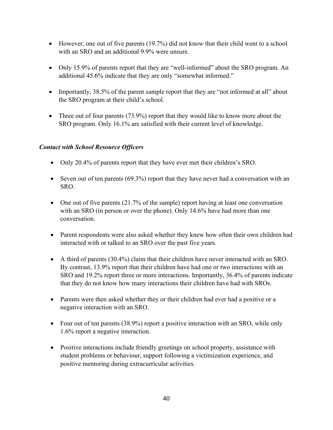- However, one out of five parents (19.7%) did not know that their child went to a school with an SRO and an additional 9.9% were unsure.
- Only 15.9% of parents report that they are "well-informed" about the SRO program. An additional 45.6% indicate that they are only "somewhat informed."
- Importantly, 38.5% of the parent sample report that they are "not informed at all" about the SRO program at their child's school.
- Three out of four parents (73.9%) report that they would like to know more about the SRO program. Only 16.1% are satisfied with their current level of knowledge.

### *Contact with School Resource Officers*

- Only 20.4% of parents report that they have ever met their children's SRO.
- Seven out of ten parents (69.3%) report that they have never had a conversation with an SRO.
- One out of five parents (21.7% of the sample) report having at least one conversation with an SRO (in person or over the phone). Only 14.6% have had more than one conversation.
- Parent respondents were also asked whether they knew how often their own children had interacted with or talked to an SRO over the past five years.
- A third of parents (30.4%) claim that their children have never interacted with an SRO. By contrast, 13.9% report that their children have had one or two interactions with an SRO and 19.2% report three or more interactions. Importantly, 36.4% of parents indicate that they do not know how many interactions their children have had with SROs.
- Parents were then asked whether they or their children had ever had a positive or a negative interaction with an SRO.
- Four out of ten parents (38.9%) report a positive interaction with an SRO, while only 1.6% report a negative interaction.
- Positive interactions include friendly greetings on school property, assistance with student problems or behaviour, support following a victimization experience, and positive mentoring during extracurricular activities.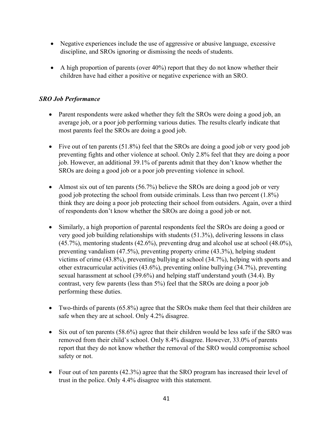- Negative experiences include the use of aggressive or abusive language, excessive discipline, and SROs ignoring or dismissing the needs of students.
- A high proportion of parents (over  $40\%$ ) report that they do not know whether their children have had either a positive or negative experience with an SRO.

# *SRO Job Performance*

- Parent respondents were asked whether they felt the SROs were doing a good job, an average job, or a poor job performing various duties. The results clearly indicate that most parents feel the SROs are doing a good job.
- Five out of ten parents (51.8%) feel that the SROs are doing a good job or very good job preventing fights and other violence at school. Only 2.8% feel that they are doing a poor job. However, an additional 39.1% of parents admit that they don't know whether the SROs are doing a good job or a poor job preventing violence in school.
- Almost six out of ten parents (56.7%) believe the SROs are doing a good job or very good job protecting the school from outside criminals. Less than two percent (1.8%) think they are doing a poor job protecting their school from outsiders. Again, over a third of respondents don't know whether the SROs are doing a good job or not.
- Similarly, a high proportion of parental respondents feel the SROs are doing a good or very good job building relationships with students (51.3%), delivering lessons in class (45.7%), mentoring students (42.6%), preventing drug and alcohol use at school (48.0%), preventing vandalism (47.5%), preventing property crime (43.3%), helping student victims of crime (43.8%), preventing bullying at school (34.7%), helping with sports and other extracurricular activities (43.6%), preventing online bullying (34.7%), preventing sexual harassment at school (39.6%) and helping staff understand youth (34.4). By contrast, very few parents (less than 5%) feel that the SROs are doing a poor job performing these duties.
- Two-thirds of parents (65.8%) agree that the SROs make them feel that their children are safe when they are at school. Only 4.2% disagree.
- Six out of ten parents (58.6%) agree that their children would be less safe if the SRO was removed from their child's school. Only 8.4% disagree. However, 33.0% of parents report that they do not know whether the removal of the SRO would compromise school safety or not.
- Four out of ten parents (42.3%) agree that the SRO program has increased their level of trust in the police. Only 4.4% disagree with this statement.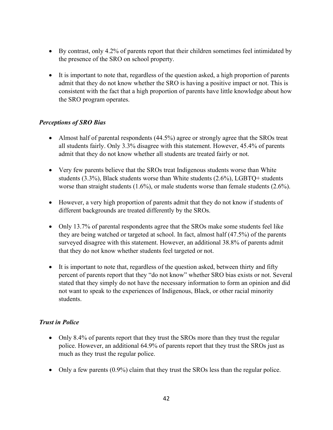- By contrast, only 4.2% of parents report that their children sometimes feel intimidated by the presence of the SRO on school property.
- It is important to note that, regardless of the question asked, a high proportion of parents admit that they do not know whether the SRO is having a positive impact or not. This is consistent with the fact that a high proportion of parents have little knowledge about how the SRO program operates.

### *Perceptions of SRO Bias*

- Almost half of parental respondents (44.5%) agree or strongly agree that the SROs treat all students fairly. Only 3.3% disagree with this statement. However, 45.4% of parents admit that they do not know whether all students are treated fairly or not.
- Very few parents believe that the SROs treat Indigenous students worse than White students (3.3%), Black students worse than White students (2.6%), LGBTQ+ students worse than straight students (1.6%), or male students worse than female students (2.6%).
- However, a very high proportion of parents admit that they do not know if students of different backgrounds are treated differently by the SROs.
- Only 13.7% of parental respondents agree that the SROs make some students feel like they are being watched or targeted at school. In fact, almost half (47.5%) of the parents surveyed disagree with this statement. However, an additional 38.8% of parents admit that they do not know whether students feel targeted or not.
- It is important to note that, regardless of the question asked, between thirty and fifty percent of parents report that they "do not know" whether SRO bias exists or not. Several stated that they simply do not have the necessary information to form an opinion and did not want to speak to the experiences of Indigenous, Black, or other racial minority students.

### *Trust in Police*

- Only 8.4% of parents report that they trust the SROs more than they trust the regular police. However, an additional 64.9% of parents report that they trust the SROs just as much as they trust the regular police.
- Only a few parents (0.9%) claim that they trust the SROs less than the regular police.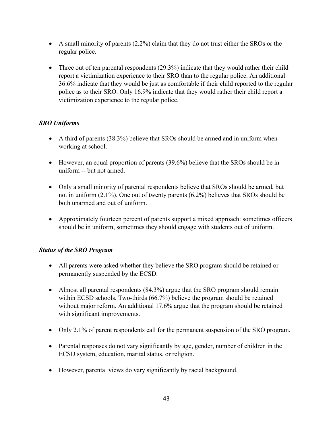- A small minority of parents (2.2%) claim that they do not trust either the SROs or the regular police.
- Three out of ten parental respondents (29.3%) indicate that they would rather their child report a victimization experience to their SRO than to the regular police. An additional 36.6% indicate that they would be just as comfortable if their child reported to the regular police as to their SRO. Only 16.9% indicate that they would rather their child report a victimization experience to the regular police.

# *SRO Uniforms*

- A third of parents (38.3%) believe that SROs should be armed and in uniform when working at school.
- However, an equal proportion of parents (39.6%) believe that the SROs should be in uniform -- but not armed.
- Only a small minority of parental respondents believe that SROs should be armed, but not in uniform (2.1%). One out of twenty parents (6.2%) believes that SROs should be both unarmed and out of uniform.
- Approximately fourteen percent of parents support a mixed approach: sometimes officers should be in uniform, sometimes they should engage with students out of uniform.

# *Status of the SRO Program*

- All parents were asked whether they believe the SRO program should be retained or permanently suspended by the ECSD.
- Almost all parental respondents (84.3%) argue that the SRO program should remain within ECSD schools. Two-thirds (66.7%) believe the program should be retained without major reform. An additional 17.6% argue that the program should be retained with significant improvements.
- Only 2.1% of parent respondents call for the permanent suspension of the SRO program.
- Parental responses do not vary significantly by age, gender, number of children in the ECSD system, education, marital status, or religion.
- However, parental views do vary significantly by racial background.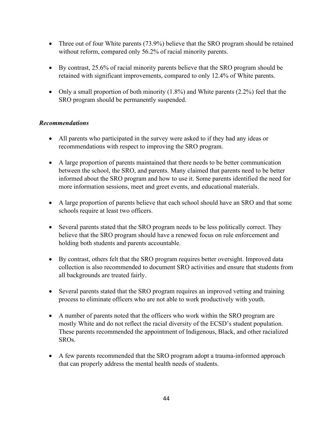- Three out of four White parents (73.9%) believe that the SRO program should be retained without reform, compared only 56.2% of racial minority parents.
- By contrast, 25.6% of racial minority parents believe that the SRO program should be retained with significant improvements, compared to only 12.4% of White parents.
- Only a small proportion of both minority (1.8%) and White parents (2.2%) feel that the SRO program should be permanently suspended.

### *Recommendations*

- All parents who participated in the survey were asked to if they had any ideas or recommendations with respect to improving the SRO program.
- A large proportion of parents maintained that there needs to be better communication between the school, the SRO, and parents. Many claimed that parents need to be better informed about the SRO program and how to use it. Some parents identified the need for more information sessions, meet and greet events, and educational materials.
- A large proportion of parents believe that each school should have an SRO and that some schools require at least two officers.
- Several parents stated that the SRO program needs to be less politically correct. They believe that the SRO program should have a renewed focus on rule enforcement and holding both students and parents accountable.
- By contrast, others felt that the SRO program requires better oversight. Improved data collection is also recommended to document SRO activities and ensure that students from all backgrounds are treated fairly.
- Several parents stated that the SRO program requires an improved vetting and training process to eliminate officers who are not able to work productively with youth.
- A number of parents noted that the officers who work within the SRO program are mostly White and do not reflect the racial diversity of the ECSD's student population. These parents recommended the appointment of Indigenous, Black, and other racialized SROs.
- A few parents recommended that the SRO program adopt a trauma-informed approach that can properly address the mental health needs of students.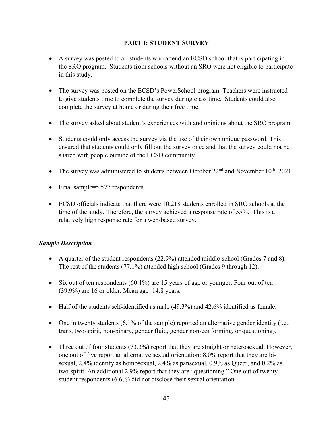### **PART I: STUDENT SURVEY**

- A survey was posted to all students who attend an ECSD school that is participating in the SRO program. Students from schools without an SRO were not eligible to participate in this study.
- The survey was posted on the ECSD's PowerSchool program. Teachers were instructed to give students time to complete the survey during class time. Students could also complete the survey at home or during their free time.
- The survey asked about student's experiences with and opinions about the SRO program.
- Students could only access the survey via the use of their own unique password. This ensured that students could only fill out the survey once and that the survey could not be shared with people outside of the ECSD community.
- The survey was administered to students between October  $22<sup>nd</sup>$  and November  $10<sup>th</sup>$ , 2021.
- Final sample=5,577 respondents.
- ECSD officials indicate that there were 10,218 students enrolled in SRO schools at the time of the study. Therefore, the survey achieved a response rate of 55%. This is a relatively high response rate for a web-based survey.

### *Sample Description*

- A quarter of the student respondents (22.9%) attended middle-school (Grades 7 and 8). The rest of the students (77.1%) attended high school (Grades 9 through 12).
- Six out of ten respondents (60.1%) are 15 years of age or younger. Four out of ten (39.9%) are 16 or older. Mean age=14.8 years.
- Half of the students self-identified as male (49.3%) and 42.6% identified as female.
- One in twenty students  $(6.1\%$  of the sample) reported an alternative gender identity (i.e., trans, two-spirit, non-binary, gender fluid, gender non-conforming, or questioning).
- Three out of four students (73.3%) report that they are straight or heterosexual. However, one out of five report an alternative sexual orientation: 8.0% report that they are bisexual, 2.4% identify as homosexual, 2.4% as pansexual, 0.9% as Queer, and 0.2% as two-spirit. An additional 2.9% report that they are "questioning." One out of twenty student respondents (6.6%) did not disclose their sexual orientation.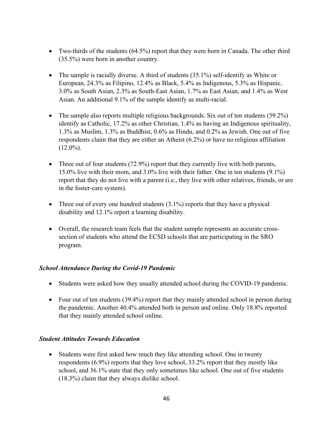- Two-thirds of the students (64.5%) report that they were born in Canada. The other third (35.5%) were born in another country.
- The sample is racially diverse. A third of students  $(35.1\%)$  self-identify as White or European, 24.3% as Filipino, 12.4% as Black, 5.4% as Indigenous, 5.3% as Hispanic, 3.0% as South Asian, 2.3% as South-East Asian, 1.7% as East Asian, and 1.4% as West Asian. An additional 9.1% of the sample identify as multi-racial.
- The sample also reports multiple religious backgrounds. Six out of ten students (59.2%) identify as Catholic, 17.2% as other Christian, 1.4% as having an Indigenous spirituality, 1.3% as Muslim, 1.3% as Buddhist, 0.6% as Hindu, and 0.2% as Jewish. One out of five respondents claim that they are either an Atheist (6.2%) or have no religious affiliation  $(12.0\%)$ .
- Three out of four students (72.9%) report that they currently live with both parents, 15.0% live with their mom, and 3.0% live with their father. One in ten students (9.1%) report that they do not live with a parent (i.e., they live with other relatives, friends, or are in the foster-care system).
- Three out of every one hundred students  $(3.1\%)$  reports that they have a physical disability and 12.1% report a learning disability.
- Overall, the research team feels that the student sample represents an accurate crosssection of students who attend the ECSD schools that are participating in the SRO program.

### *School Attendance During the Covid-19 Pandemic*

- Students were asked how they usually attended school during the COVID-19 pandemic.
- Four out of ten students (39.4%) report that they mainly attended school in person during the pandemic. Another 40.4% attended both in person and online. Only 18.8% reported that they mainly attended school online.

#### *Student Attitudes Towards Education*

• Students were first asked how much they like attending school. One in twenty respondents (6.9%) reports that they love school, 33.2% report that they mostly like school, and 36.1% state that they only sometimes like school. One out of five students (18.3%) claim that they always dislike school.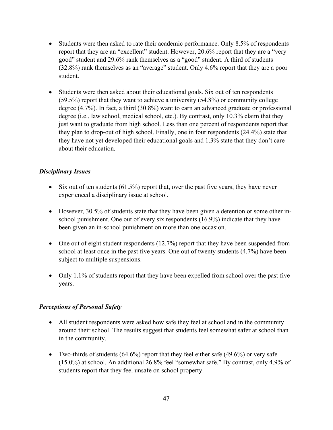- Students were then asked to rate their academic performance. Only 8.5% of respondents report that they are an "excellent" student. However, 20.6% report that they are a "very good" student and 29.6% rank themselves as a "good" student. A third of students (32.8%) rank themselves as an "average" student. Only 4.6% report that they are a poor student.
- Students were then asked about their educational goals. Six out of ten respondents (59.5%) report that they want to achieve a university (54.8%) or community college degree (4.7%). In fact, a third (30.8%) want to earn an advanced graduate or professional degree (i.e., law school, medical school, etc.). By contrast, only 10.3% claim that they just want to graduate from high school. Less than one percent of respondents report that they plan to drop-out of high school. Finally, one in four respondents (24.4%) state that they have not yet developed their educational goals and 1.3% state that they don't care about their education.

### *Disciplinary Issues*

- Six out of ten students  $(61.5\%)$  report that, over the past five years, they have never experienced a disciplinary issue at school.
- However, 30.5% of students state that they have been given a detention or some other inschool punishment. One out of every six respondents (16.9%) indicate that they have been given an in-school punishment on more than one occasion.
- One out of eight student respondents  $(12.7%)$  report that they have been suspended from school at least once in the past five years. One out of twenty students (4.7%) have been subject to multiple suspensions.
- Only 1.1% of students report that they have been expelled from school over the past five years.

### *Perceptions of Personal Safety*

- All student respondents were asked how safe they feel at school and in the community around their school. The results suggest that students feel somewhat safer at school than in the community.
- Two-thirds of students  $(64.6\%)$  report that they feel either safe  $(49.6\%)$  or very safe (15.0%) at school. An additional 26.8% feel "somewhat safe." By contrast, only 4.9% of students report that they feel unsafe on school property.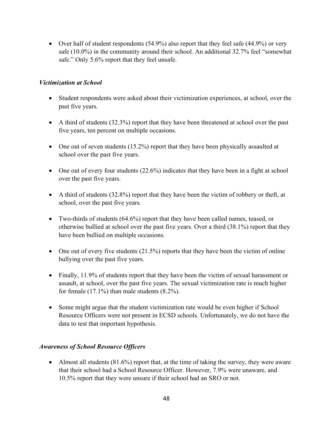• Over half of student respondents (54.9%) also report that they feel safe (44.9%) or very safe (10.0%) in the community around their school. An additional 32.7% feel "somewhat safe." Only 5.6% report that they feel unsafe.

### *Victimization at School*

- Student respondents were asked about their victimization experiences, at school, over the past five years.
- A third of students (32.3%) report that they have been threatened at school over the past five years, ten percent on multiple occasions.
- One out of seven students (15.2%) report that they have been physically assaulted at school over the past five years.
- One out of every four students (22.6%) indicates that they have been in a fight at school over the past five years.
- A third of students (32.8%) report that they have been the victim of robbery or theft, at school, over the past five years.
- Two-thirds of students (64.6%) report that they have been called names, teased, or otherwise bullied at school over the past five years. Over a third (38.1%) report that they have been bullied on multiple occasions.
- One out of every five students  $(21.5%)$  reports that they have been the victim of online bullying over the past five years.
- Finally, 11.9% of students report that they have been the victim of sexual harassment or assault, at school, over the past five years. The sexual victimization rate is much higher for female  $(17.1\%)$  than male students  $(8.2\%).$
- Some might argue that the student victimization rate would be even higher if School Resource Officers were not present in ECSD schools. Unfortunately, we do not have the data to test that important hypothesis.

### *Awareness of School Resource Officers*

• Almost all students  $(81.6%)$  report that, at the time of taking the survey, they were aware that their school had a School Resource Officer. However, 7.9% were unaware, and 10.5% report that they were unsure if their school had an SRO or not.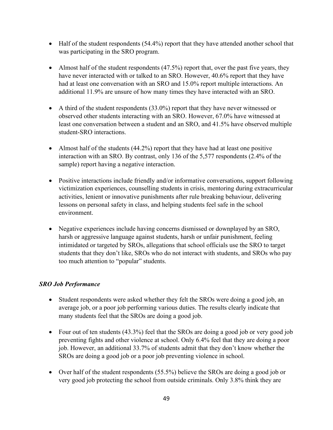- Half of the student respondents (54.4%) report that they have attended another school that was participating in the SRO program.
- Almost half of the student respondents (47.5%) report that, over the past five years, they have never interacted with or talked to an SRO. However, 40.6% report that they have had at least one conversation with an SRO and 15.0% report multiple interactions. An additional 11.9% are unsure of how many times they have interacted with an SRO.
- A third of the student respondents (33.0%) report that they have never witnessed or observed other students interacting with an SRO. However, 67.0% have witnessed at least one conversation between a student and an SRO, and 41.5% have observed multiple student-SRO interactions.
- Almost half of the students (44.2%) report that they have had at least one positive interaction with an SRO. By contrast, only 136 of the 5,577 respondents (2.4% of the sample) report having a negative interaction.
- Positive interactions include friendly and/or informative conversations, support following victimization experiences, counselling students in crisis, mentoring during extracurricular activities, lenient or innovative punishments after rule breaking behaviour, delivering lessons on personal safety in class, and helping students feel safe in the school environment.
- Negative experiences include having concerns dismissed or downplayed by an SRO, harsh or aggressive language against students, harsh or unfair punishment, feeling intimidated or targeted by SROs, allegations that school officials use the SRO to target students that they don't like, SROs who do not interact with students, and SROs who pay too much attention to "popular" students.

# *SRO Job Performance*

- Student respondents were asked whether they felt the SROs were doing a good job, an average job, or a poor job performing various duties. The results clearly indicate that many students feel that the SROs are doing a good job.
- Four out of ten students (43.3%) feel that the SROs are doing a good job or very good job preventing fights and other violence at school. Only 6.4% feel that they are doing a poor job. However, an additional 33.7% of students admit that they don't know whether the SROs are doing a good job or a poor job preventing violence in school.
- Over half of the student respondents (55.5%) believe the SROs are doing a good job or very good job protecting the school from outside criminals. Only 3.8% think they are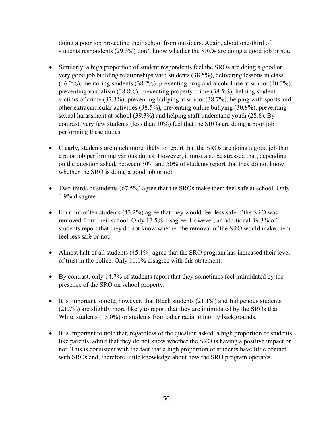doing a poor job protecting their school from outsiders. Again, about one-third of students respondents (29.3%) don't know whether the SROs are doing a good job or not.

- Similarly, a high proportion of student respondents feel the SROs are doing a good or very good job building relationships with students (38.5%), delivering lessons in class (46.2%), mentoring students (38.2%), preventing drug and alcohol use at school (40.3%), preventing vandalism (38.8%), preventing property crime (38.5%), helping student victims of crime (37.3%), preventing bullying at school (38.7%), helping with sports and other extracurricular activities (38.5%), preventing online bullying (30.8%), preventing sexual harassment at school (39.3%) and helping staff understand youth (28.6). By contrast, very few students (less than 10%) feel that the SROs are doing a poor job performing these duties.
- Clearly, students are much more likely to report that the SROs are doing a good job than a poor job performing various duties. However, it must also be stressed that, depending on the question asked, between 30% and 50% of students report that they do not know whether the SRO is doing a good job or not.
- Two-thirds of students (67.5%) agree that the SROs make them feel safe at school. Only 4.9% disagree.
- Four out of ten students (43.2%) agree that they would feel less safe if the SRO was removed from their school. Only 17.5% disagree. However, an additional 39.3% of students report that they do not know whether the removal of the SRO would make them feel less safe or not.
- Almost half of all students (45.1%) agree that the SRO program has increased their level of trust in the police. Only 11.1% disagree with this statement.
- By contrast, only 14.7% of students report that they sometimes feel intimidated by the presence of the SRO on school property.
- It is important to note, however, that Black students  $(21.1\%)$  and Indigenous students (21.7%) are slightly more likely to report that they are intimidated by the SROs than White students (15.0%) or students from other racial minority backgrounds.
- It is important to note that, regardless of the question asked, a high proportion of students, like parents, admit that they do not know whether the SRO is having a positive impact or not. This is consistent with the fact that a high proportion of students have little contact with SROs and, therefore, little knowledge about how the SRO program operates.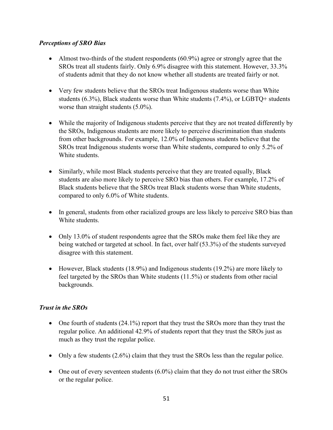### *Perceptions of SRO Bias*

- Almost two-thirds of the student respondents  $(60.9\%)$  agree or strongly agree that the SROs treat all students fairly. Only 6.9% disagree with this statement. However, 33.3% of students admit that they do not know whether all students are treated fairly or not.
- Very few students believe that the SROs treat Indigenous students worse than White students (6.3%), Black students worse than White students (7.4%), or LGBTQ+ students worse than straight students (5.0%).
- While the majority of Indigenous students perceive that they are not treated differently by the SROs, Indigenous students are more likely to perceive discrimination than students from other backgrounds. For example, 12.0% of Indigenous students believe that the SROs treat Indigenous students worse than White students, compared to only 5.2% of White students.
- Similarly, while most Black students perceive that they are treated equally, Black students are also more likely to perceive SRO bias than others. For example, 17.2% of Black students believe that the SROs treat Black students worse than White students, compared to only 6.0% of White students.
- In general, students from other racialized groups are less likely to perceive SRO bias than White students.
- Only 13.0% of student respondents agree that the SROs make them feel like they are being watched or targeted at school. In fact, over half (53.3%) of the students surveyed disagree with this statement.
- However, Black students (18.9%) and Indigenous students (19.2%) are more likely to feel targeted by the SROs than White students (11.5%) or students from other racial backgrounds.

# *Trust in the SROs*

- One fourth of students (24.1%) report that they trust the SROs more than they trust the regular police. An additional 42.9% of students report that they trust the SROs just as much as they trust the regular police.
- Only a few students (2.6%) claim that they trust the SROs less than the regular police.
- One out of every seventeen students (6.0%) claim that they do not trust either the SROs or the regular police.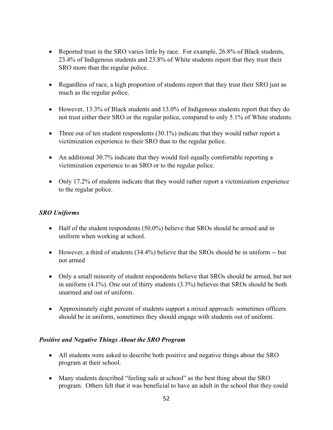- Reported trust in the SRO varies little by race. For example, 26.8% of Black students, 23.4% of Indigenous students and 23.8% of White students report that they trust their SRO more than the regular police.
- Regardless of race, a high proportion of students report that they trust their SRO just as much as the regular police.
- However, 13.3% of Black students and 13.0% of Indigenous students report that they do not trust either their SRO or the regular police, compared to only 5.1% of White students.
- Three out of ten student respondents  $(30.1\%)$  indicate that they would rather report a victimization experience to their SRO than to the regular police.
- An additional 30.7% indicate that they would feel equally comfortable reporting a victimization experience to an SRO or to the regular police.
- Only 17.2% of students indicate that they would rather report a victimization experience to the regular police.

### *SRO Uniforms*

- Half of the student respondents (50.0%) believe that SROs should be armed and in uniform when working at school.
- However, a third of students (34.4%) believe that the SROs should be in uniform -- but not armed
- Only a small minority of student respondents believe that SROs should be armed, but not in uniform (4.1%). One out of thirty students (3.3%) believes that SROs should be both unarmed and out of uniform.
- Approximately eight percent of students support a mixed approach: sometimes officers should be in uniform, sometimes they should engage with students out of uniform.

### *Positive and Negative Things About the SRO Program*

- All students were asked to describe both positive and negative things about the SRO program at their school.
- Many students described "feeling safe at school" as the best thing about the SRO program. Others felt that it was beneficial to have an adult in the school that they could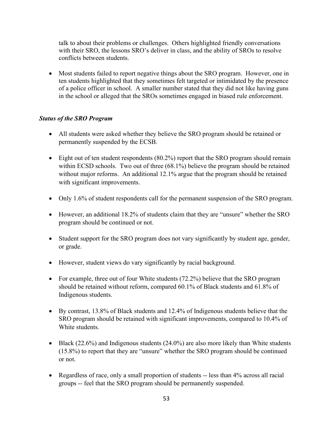talk to about their problems or challenges. Others highlighted friendly conversations with their SRO, the lessons SRO's deliver in class, and the ability of SROs to resolve conflicts between students.

• Most students failed to report negative things about the SRO program. However, one in ten students highlighted that they sometimes felt targeted or intimidated by the presence of a police officer in school. A smaller number stated that they did not like having guns in the school or alleged that the SROs sometimes engaged in biased rule enforcement.

### *Status of the SRO Program*

- All students were asked whether they believe the SRO program should be retained or permanently suspended by the ECSB.
- Eight out of ten student respondents (80.2%) report that the SRO program should remain within ECSD schools. Two out of three (68.1%) believe the program should be retained without major reforms. An additional 12.1% argue that the program should be retained with significant improvements.
- Only 1.6% of student respondents call for the permanent suspension of the SRO program.
- However, an additional 18.2% of students claim that they are "unsure" whether the SRO program should be continued or not.
- Student support for the SRO program does not vary significantly by student age, gender, or grade.
- However, student views do vary significantly by racial background.
- For example, three out of four White students (72.2%) believe that the SRO program should be retained without reform, compared 60.1% of Black students and 61.8% of Indigenous students.
- By contrast, 13.8% of Black students and 12.4% of Indigenous students believe that the SRO program should be retained with significant improvements, compared to 10.4% of White students.
- Black (22.6%) and Indigenous students (24.0%) are also more likely than White students (15.8%) to report that they are "unsure" whether the SRO program should be continued or not.
- Regardless of race, only a small proportion of students -- less than 4% across all racial groups -- feel that the SRO program should be permanently suspended.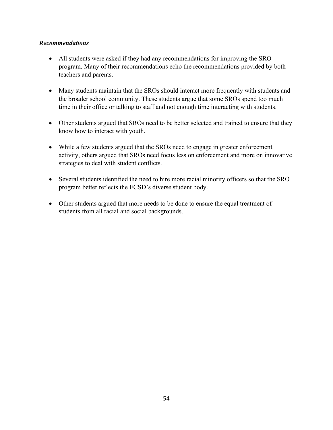### *Recommendations*

- All students were asked if they had any recommendations for improving the SRO program. Many of their recommendations echo the recommendations provided by both teachers and parents.
- Many students maintain that the SROs should interact more frequently with students and the broader school community. These students argue that some SROs spend too much time in their office or talking to staff and not enough time interacting with students.
- Other students argued that SROs need to be better selected and trained to ensure that they know how to interact with youth.
- While a few students argued that the SROs need to engage in greater enforcement activity, others argued that SROs need focus less on enforcement and more on innovative strategies to deal with student conflicts.
- Several students identified the need to hire more racial minority officers so that the SRO program better reflects the ECSD's diverse student body.
- Other students argued that more needs to be done to ensure the equal treatment of students from all racial and social backgrounds.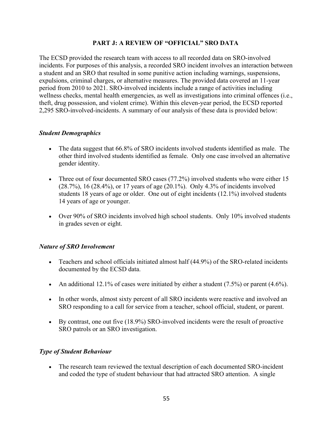### **PART J: A REVIEW OF "OFFICIAL" SRO DATA**

The ECSD provided the research team with access to all recorded data on SRO-involved incidents. For purposes of this analysis, a recorded SRO incident involves an interaction between a student and an SRO that resulted in some punitive action including warnings, suspensions, expulsions, criminal charges, or alternative measures. The provided data covered an 11-year period from 2010 to 2021. SRO-involved incidents include a range of activities including wellness checks, mental health emergencies, as well as investigations into criminal offences (i.e., theft, drug possession, and violent crime). Within this eleven-year period, the ECSD reported 2,295 SRO-involved-incidents. A summary of our analysis of these data is provided below:

### *Student Demographics*

- The data suggest that 66.8% of SRO incidents involved students identified as male. The other third involved students identified as female. Only one case involved an alternative gender identity.
- Three out of four documented SRO cases (77.2%) involved students who were either 15 (28.7%), 16 (28.4%), or 17 years of age (20.1%). Only 4.3% of incidents involved students 18 years of age or older. One out of eight incidents (12.1%) involved students 14 years of age or younger.
- Over 90% of SRO incidents involved high school students. Only 10% involved students in grades seven or eight.

### *Nature of SRO Involvement*

- Teachers and school officials initiated almost half (44.9%) of the SRO-related incidents documented by the ECSD data.
- An additional 12.1% of cases were initiated by either a student  $(7.5%)$  or parent  $(4.6%).$
- In other words, almost sixty percent of all SRO incidents were reactive and involved an SRO responding to a call for service from a teacher, school official, student, or parent.
- By contrast, one out five (18.9%) SRO-involved incidents were the result of proactive SRO patrols or an SRO investigation.

#### *Type of Student Behaviour*

• The research team reviewed the textual description of each documented SRO-incident and coded the type of student behaviour that had attracted SRO attention.A single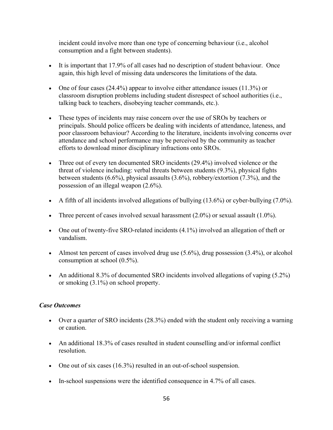incident could involve more than one type of concerning behaviour (i.e., alcohol consumption and a fight between students).

- It is important that 17.9% of all cases had no description of student behaviour. Once again, this high level of missing data underscores the limitations of the data.
- One of four cases  $(24.4\%)$  appear to involve either attendance issues  $(11.3\%)$  or classroom disruption problems including student disrespect of school authorities (i.e., talking back to teachers, disobeying teacher commands, etc.).
- These types of incidents may raise concern over the use of SROs by teachers or principals. Should police officers be dealing with incidents of attendance, lateness, and poor classroom behaviour? According to the literature, incidents involving concerns over attendance and school performance may be perceived by the community as teacher efforts to download minor disciplinary infractions onto SROs.
- Three out of every ten documented SRO incidents (29.4%) involved violence or the threat of violence including: verbal threats between students (9.3%), physical fights between students (6.6%), physical assaults (3.6%), robbery/extortion (7.3%), and the possession of an illegal weapon (2.6%).
- A fifth of all incidents involved allegations of bullying  $(13.6\%)$  or cyber-bullying  $(7.0\%)$ .
- Three percent of cases involved sexual harassment  $(2.0\%)$  or sexual assault  $(1.0\%)$ .
- One out of twenty-five SRO-related incidents (4.1%) involved an allegation of theft or vandalism.
- Almost ten percent of cases involved drug use  $(5.6\%)$ , drug possession  $(3.4\%)$ , or alcohol consumption at school (0.5%).
- An additional 8.3% of documented SRO incidents involved allegations of vaping (5.2%) or smoking (3.1%) on school property.

#### *Case Outcomes*

- Over a quarter of SRO incidents (28.3%) ended with the student only receiving a warning or caution.
- An additional 18.3% of cases resulted in student counselling and/or informal conflict resolution.
- One out of six cases (16.3%) resulted in an out-of-school suspension.
- In-school suspensions were the identified consequence in 4.7% of all cases.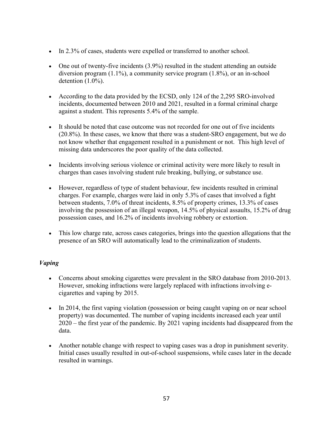- In 2.3% of cases, students were expelled or transferred to another school.
- One out of twenty-five incidents (3.9%) resulted in the student attending an outside diversion program (1.1%), a community service program (1.8%), or an in-school detention (1.0%).
- According to the data provided by the ECSD, only 124 of the 2,295 SRO-involved incidents, documented between 2010 and 2021, resulted in a formal criminal charge against a student. This represents 5.4% of the sample.
- It should be noted that case outcome was not recorded for one out of five incidents (20.8%). In these cases, we know that there was a student-SRO engagement, but we do not know whether that engagement resulted in a punishment or not. This high level of missing data underscores the poor quality of the data collected.
- Incidents involving serious violence or criminal activity were more likely to result in charges than cases involving student rule breaking, bullying, or substance use.
- However, regardless of type of student behaviour, few incidents resulted in criminal charges. For example, charges were laid in only 5.3% of cases that involved a fight between students, 7.0% of threat incidents, 8.5% of property crimes, 13.3% of cases involving the possession of an illegal weapon, 14.5% of physical assaults, 15.2% of drug possession cases, and 16.2% of incidents involving robbery or extortion.
- This low charge rate, across cases categories, brings into the question allegations that the presence of an SRO will automatically lead to the criminalization of students.

### *Vaping*

- Concerns about smoking cigarettes were prevalent in the SRO database from 2010-2013. However, smoking infractions were largely replaced with infractions involving ecigarettes and vaping by 2015.
- In 2014, the first vaping violation (possession or being caught vaping on or near school property) was documented. The number of vaping incidents increased each year until 2020 – the first year of the pandemic. By 2021 vaping incidents had disappeared from the data.
- Another notable change with respect to vaping cases was a drop in punishment severity. Initial cases usually resulted in out-of-school suspensions, while cases later in the decade resulted in warnings.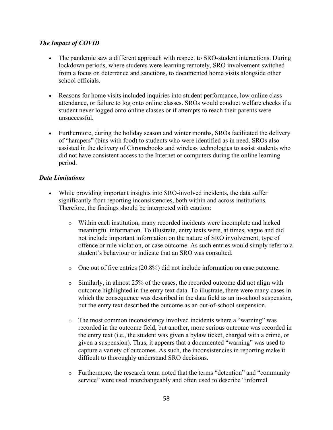### *The Impact of COVID*

- The pandemic saw a different approach with respect to SRO-student interactions. During lockdown periods, where students were learning remotely, SRO involvement switched from a focus on deterrence and sanctions, to documented home visits alongside other school officials.
- Reasons for home visits included inquiries into student performance, low online class attendance, or failure to log onto online classes. SROs would conduct welfare checks if a student never logged onto online classes or if attempts to reach their parents were unsuccessful.
- Furthermore, during the holiday season and winter months, SROs facilitated the delivery of "hampers" (bins with food) to students who were identified as in need. SROs also assisted in the delivery of Chromebooks and wireless technologies to assist students who did not have consistent access to the Internet or computers during the online learning period.

### *Data Limitations*

- While providing important insights into SRO-involved incidents, the data suffer significantly from reporting inconsistencies, both within and across institutions. Therefore, the findings should be interpreted with caution:
	- o Within each institution, many recorded incidents were incomplete and lacked meaningful information. To illustrate, entry texts were, at times, vague and did not include important information on the nature of SRO involvement, type of offence or rule violation, or case outcome. As such entries would simply refer to a student's behaviour or indicate that an SRO was consulted.
	- $\circ$  One out of five entries (20.8%) did not include information on case outcome.
	- $\circ$  Similarly, in almost 25% of the cases, the recorded outcome did not align with outcome highlighted in the entry text data. To illustrate, there were many cases in which the consequence was described in the data field as an in-school suspension, but the entry text described the outcome as an out-of-school suspension.
	- o The most common inconsistency involved incidents where a "warning" was recorded in the outcome field, but another, more serious outcome was recorded in the entry text (i.e., the student was given a bylaw ticket, charged with a crime, or given a suspension). Thus, it appears that a documented "warning" was used to capture a variety of outcomes. As such, the inconsistencies in reporting make it difficult to thoroughly understand SRO decisions.
	- o Furthermore, the research team noted that the terms "detention" and "community service" were used interchangeably and often used to describe "informal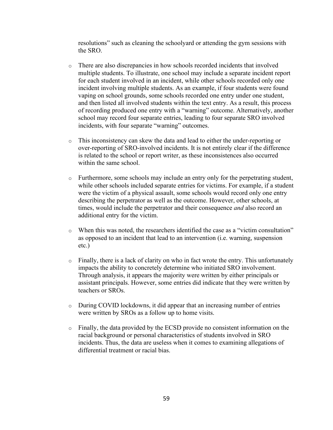resolutions" such as cleaning the schoolyard or attending the gym sessions with the SRO.

- o There are also discrepancies in how schools recorded incidents that involved multiple students. To illustrate, one school may include a separate incident report for each student involved in an incident, while other schools recorded only one incident involving multiple students. As an example, if four students were found vaping on school grounds, some schools recorded one entry under one student, and then listed all involved students within the text entry. As a result, this process of recording produced one entry with a "warning" outcome. Alternatively, another school may record four separate entries, leading to four separate SRO involved incidents, with four separate "warning" outcomes.
- o This inconsistency can skew the data and lead to either the under-reporting or over-reporting of SRO-involved incidents. It is not entirely clear if the difference is related to the school or report writer, as these inconsistences also occurred within the same school.
- $\circ$  Furthermore, some schools may include an entry only for the perpetrating student, while other schools included separate entries for victims. For example, if a student were the victim of a physical assault, some schools would record only one entry describing the perpetrator as well as the outcome. However, other schools, at times, would include the perpetrator and their consequence *and* also record an additional entry for the victim.
- o When this was noted, the researchers identified the case as a "victim consultation" as opposed to an incident that lead to an intervention (i.e. warning, suspension etc.)
- $\circ$  Finally, there is a lack of clarity on who in fact wrote the entry. This unfortunately impacts the ability to concretely determine who initiated SRO involvement. Through analysis, it appears the majority were written by either principals or assistant principals. However, some entries did indicate that they were written by teachers or SROs.
- o During COVID lockdowns, it did appear that an increasing number of entries were written by SROs as a follow up to home visits.
- o Finally, the data provided by the ECSD provide no consistent information on the racial background or personal characteristics of students involved in SRO incidents. Thus, the data are useless when it comes to examining allegations of differential treatment or racial bias.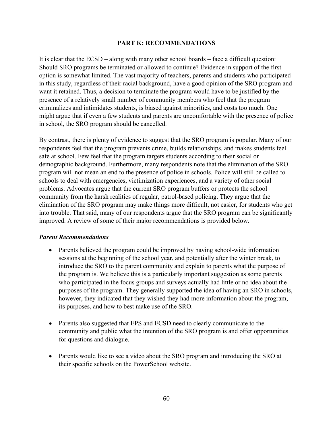#### **PART K: RECOMMENDATIONS**

It is clear that the ECSD – along with many other school boards – face a difficult question: Should SRO programs be terminated or allowed to continue? Evidence in support of the first option is somewhat limited. The vast majority of teachers, parents and students who participated in this study, regardless of their racial background, have a good opinion of the SRO program and want it retained. Thus, a decision to terminate the program would have to be justified by the presence of a relatively small number of community members who feel that the program criminalizes and intimidates students, is biased against minorities, and costs too much. One might argue that if even a few students and parents are uncomfortable with the presence of police in school, the SRO program should be cancelled.

By contrast, there is plenty of evidence to suggest that the SRO program is popular. Many of our respondents feel that the program prevents crime, builds relationships, and makes students feel safe at school. Few feel that the program targets students according to their social or demographic background. Furthermore, many respondents note that the elimination of the SRO program will not mean an end to the presence of police in schools. Police will still be called to schools to deal with emergencies, victimization experiences, and a variety of other social problems. Advocates argue that the current SRO program buffers or protects the school community from the harsh realities of regular, patrol-based policing. They argue that the elimination of the SRO program may make things more difficult, not easier, for students who get into trouble. That said, many of our respondents argue that the SRO program can be significantly improved. A review of some of their major recommendations is provided below.

#### *Parent Recommendations*

- Parents believed the program could be improved by having school-wide information sessions at the beginning of the school year, and potentially after the winter break, to introduce the SRO to the parent community and explain to parents what the purpose of the program is. We believe this is a particularly important suggestion as some parents who participated in the focus groups and surveys actually had little or no idea about the purposes of the program. They generally supported the idea of having an SRO in schools, however, they indicated that they wished they had more information about the program, its purposes, and how to best make use of the SRO.
- Parents also suggested that EPS and ECSD need to clearly communicate to the community and public what the intention of the SRO program is and offer opportunities for questions and dialogue.
- Parents would like to see a video about the SRO program and introducing the SRO at their specific schools on the PowerSchool website.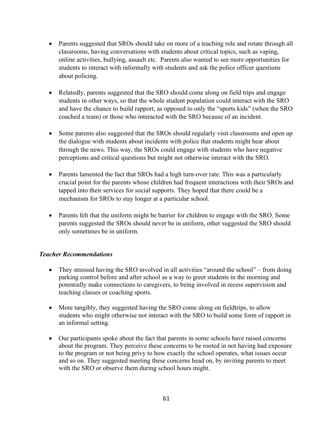- Parents suggested that SROs should take on more of a teaching role and rotate through all classrooms, having conversations with students about critical topics, such as vaping, online activities, bullying, assault etc. Parents also wanted to see more opportunities for students to interact with informally with students and ask the police officer questions about policing.
- Relatedly, parents suggested that the SRO should come along on field trips and engage students in other ways, so that the whole student population could interact with the SRO and have the chance to build rapport, as opposed to only the "sports kids" (when the SRO coached a team) or those who interacted with the SRO because of an incident.
- Some parents also suggested that the SROs should regularly visit classrooms and open up the dialogue with students about incidents with police that students might hear about through the news. This way, the SROs could engage with students who have negative perceptions and critical questions but might not otherwise interact with the SRO.
- Parents lamented the fact that SROs had a high turn-over rate. This was a particularly crucial point for the parents whose children had frequent interactions with their SROs and tapped into their services for social supports. They hoped that there could be a mechanism for SROs to stay longer at a particular school.
- Parents felt that the uniform might be barrier for children to engage with the SRO. Some parents suggested the SROs should never be in uniform, other suggested the SRO should only sometimes be in uniform.

### *Teacher Recommendations*

- They stressed having the SRO involved in all activities "around the school" from doing parking control before and after school as a way to greet students in the morning and potentially make connections to caregivers, to being involved in recess supervision and teaching classes or coaching sports.
- More tangibly, they suggested having the SRO come along on field trips, to allow students who might otherwise not interact with the SRO to build some form of rapport in an informal setting.
- Our participants spoke about the fact that parents in some schools have raised concerns about the program. They perceive these concerns to be rooted in not having had exposure to the program or not being privy to how exactly the school operates, what issues occur and so on. They suggested meeting these concerns head on, by inviting parents to meet with the SRO or observe them during school hours might.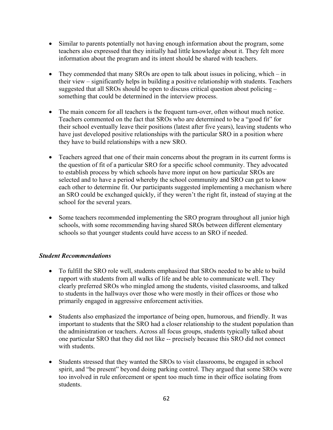- Similar to parents potentially not having enough information about the program, some teachers also expressed that they initially had little knowledge about it. They felt more information about the program and its intent should be shared with teachers.
- They commended that many SROs are open to talk about issues in policing, which in their view – significantly helps in building a positive relationship with students. Teachers suggested that all SROs should be open to discuss critical question about policing – something that could be determined in the interview process.
- The main concern for all teachers is the frequent turn-over, often without much notice. Teachers commented on the fact that SROs who are determined to be a "good fit" for their school eventually leave their positions (latest after five years), leaving students who have just developed positive relationships with the particular SRO in a position where they have to build relationships with a new SRO.
- Teachers agreed that one of their main concerns about the program in its current forms is the question of fit of a particular SRO for a specific school community. They advocated to establish process by which schools have more input on how particular SROs are selected and to have a period whereby the school community and SRO can get to know each other to determine fit. Our participants suggested implementing a mechanism where an SRO could be exchanged quickly, if they weren't the right fit, instead of staying at the school for the several years.
- Some teachers recommended implementing the SRO program throughout all junior high schools, with some recommending having shared SROs between different elementary schools so that younger students could have access to an SRO if needed.

### *Student Recommendations*

- To fulfill the SRO role well, students emphasized that SROs needed to be able to build rapport with students from all walks of life and be able to communicate well. They clearly preferred SROs who mingled among the students, visited classrooms, and talked to students in the hallways over those who were mostly in their offices or those who primarily engaged in aggressive enforcement activities.
- Students also emphasized the importance of being open, humorous, and friendly. It was important to students that the SRO had a closer relationship to the student population than the administration or teachers. Across all focus groups, students typically talked about one particular SRO that they did not like -- precisely because this SRO did not connect with students.
- Students stressed that they wanted the SROs to visit classrooms, be engaged in school spirit, and "be present" beyond doing parking control. They argued that some SROs were too involved in rule enforcement or spent too much time in their office isolating from students.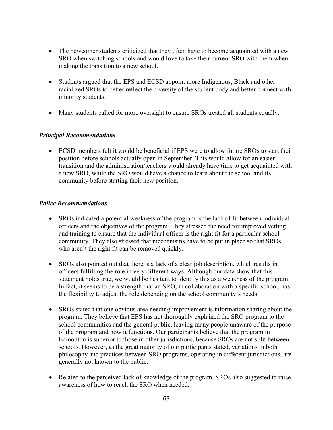- The newcomer students criticized that they often have to become acquainted with a new SRO when switching schools and would love to take their current SRO with them when making the transition to a new school.
- Students argued that the EPS and ECSD appoint more Indigenous, Black and other racialized SROs to better reflect the diversity of the student body and better connect with minority students.
- Many students called for more oversight to ensure SROs treated all students equally.

### *Principal Recommendations*

• ECSD members felt it would be beneficial if EPS were to allow future SROs to start their position before schools actually open in September. This would allow for an easier transition and the administration/teachers would already have time to get acquainted with a new SRO, while the SRO would have a chance to learn about the school and its community before starting their new position.

#### *Police Recommendations*

- SROs indicated a potential weakness of the program is the lack of fit between individual officers and the objectives of the program. They stressed the need for improved vetting and training to ensure that the individual officer is the right fit for a particular school community. They also stressed that mechanisms have to be put in place so that SROs who aren't the right fit can be removed quickly.
- SROs also pointed out that there is a lack of a clear job description, which results in officers fulfilling the role in very different ways. Although our data show that this statement holds true, we would be hesitant to identify this as a weakness of the program. In fact, it seems to be a strength that an SRO, in collaboration with a specific school, has the flexibility to adjust the role depending on the school community's needs.
- SROs stated that one obvious area needing improvement is information sharing about the program. They believe that EPS has not thoroughly explained the SRO program to the school communities and the general public, leaving many people unaware of the purpose of the program and how it functions. Our participants believe that the program in Edmonton is superior to those in other jurisdictions, because SROs are not split between schools. However, as the great majority of our participants stated, variations in both philosophy and practices between SRO programs, operating in different jurisdictions, are generally not known to the public.
- Related to the perceived lack of knowledge of the program, SROs also suggested to raise awareness of how to reach the SRO when needed.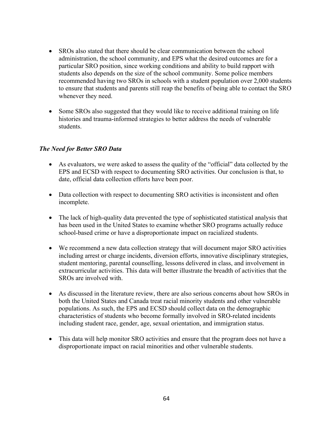- SROs also stated that there should be clear communication between the school administration, the school community, and EPS what the desired outcomes are for a particular SRO position, since working conditions and ability to build rapport with students also depends on the size of the school community. Some police members recommended having two SROs in schools with a student population over 2,000 students to ensure that students and parents still reap the benefits of being able to contact the SRO whenever they need.
- Some SROs also suggested that they would like to receive additional training on life histories and trauma-informed strategies to better address the needs of vulnerable students.

### *The Need for Better SRO Data*

- As evaluators, we were asked to assess the quality of the "official" data collected by the EPS and ECSD with respect to documenting SRO activities. Our conclusion is that, to date, official data collection efforts have been poor.
- Data collection with respect to documenting SRO activities is inconsistent and often incomplete.
- The lack of high-quality data prevented the type of sophisticated statistical analysis that has been used in the United States to examine whether SRO programs actually reduce school-based crime or have a disproportionate impact on racialized students.
- We recommend a new data collection strategy that will document major SRO activities including arrest or charge incidents, diversion efforts, innovative disciplinary strategies, student mentoring, parental counselling, lessons delivered in class, and involvement in extracurricular activities. This data will better illustrate the breadth of activities that the SROs are involved with.
- As discussed in the literature review, there are also serious concerns about how SROs in both the United States and Canada treat racial minority students and other vulnerable populations. As such, the EPS and ECSD should collect data on the demographic characteristics of students who become formally involved in SRO-related incidents including student race, gender, age, sexual orientation, and immigration status.
- This data will help monitor SRO activities and ensure that the program does not have a disproportionate impact on racial minorities and other vulnerable students.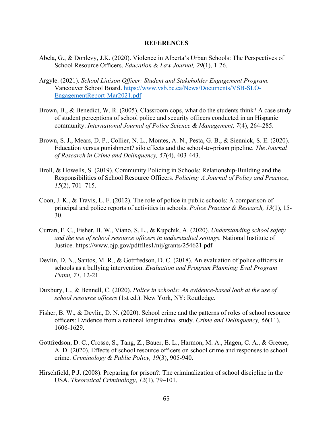#### **REFERENCES**

- Abela, G., & Donlevy, J.K. (2020). Violence in Alberta's Urban Schools: The Perspectives of School Resource Officers. *Education & Law Journal, 29*(1), 1-26.
- Argyle. (2021). *School Liaison Officer: Student and Stakeholder Engagement Program.*  Vancouver School Board. [https://www.vsb.bc.ca/News/Documents/VSB-SLO-](https://www.vsb.bc.ca/News/Documents/VSB-SLO-EngagementReport-Mar2021.pdf)[EngagementReport-Mar2021.pdf](https://www.vsb.bc.ca/News/Documents/VSB-SLO-EngagementReport-Mar2021.pdf)
- Brown, B., & Benedict, W. R. (2005). Classroom cops, what do the students think? A case study of student perceptions of school police and security officers conducted in an Hispanic community. *International Journal of Police Science & Management, 7*(4), 264-285.
- Brown, S. J., Mears, D. P., Collier, N. L., Montes, A. N., Pesta, G. B., & Siennick, S. E. (2020). Education versus punishment? silo effects and the school-to-prison pipeline. *The Journal of Research in Crime and Delinquency, 57*(4), 403-443.
- Broll, & Howells, S. (2019). Community Policing in Schools: Relationship-Building and the Responsibilities of School Resource Officers. *Policing: A Journal of Policy and Practice*, *15*(2), 701–715.
- Coon, J. K., & Travis, L. F. (2012). The role of police in public schools: A comparison of principal and police reports of activities in schools. *Police Practice & Research, 13*(1), 15- 30.
- Curran, F. C., Fisher, B. W., Viano, S. L., & Kupchik, A. (2020). *Understanding school safety and the use of school resource officers in understudied settings.* National Institute of Justice. https://www.ojp.gov/pdffiles1/nij/grants/254621.pdf
- Devlin, D. N., Santos, M. R., & Gottfredson, D. C. (2018). An evaluation of police officers in schools as a bullying intervention. *Evaluation and Program Planning; Eval Program Plann, 71*, 12-21.
- Duxbury, L., & Bennell, C. (2020). *Police in schools: An evidence-based look at the use of school resource officers* (1st ed.). New York, NY: Routledge.
- Fisher, B. W., & Devlin, D. N. (2020). School crime and the patterns of roles of school resource officers: Evidence from a national longitudinal study. *Crime and Delinquency, 66*(11), 1606-1629.
- Gottfredson, D. C., Crosse, S., Tang, Z., Bauer, E. L., Harmon, M. A., Hagen, C. A., & Greene, A. D. (2020). Effects of school resource officers on school crime and responses to school crime. *Criminology & Public Policy, 19*(3), 905-940.
- Hirschfield, P.J. (2008). Preparing for prison?: The criminalization of school discipline in the USA. *Theoretical Criminology*, *12*(1), 79–101.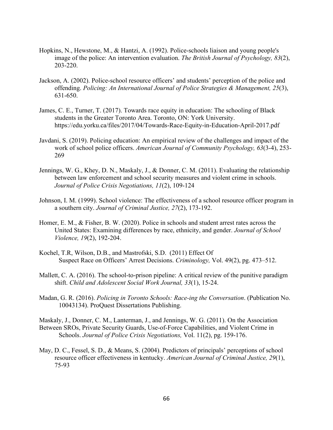- Hopkins, N., Hewstone, M., & Hantzi, A. (1992). Police-schools liaison and young people's image of the police: An intervention evaluation. *The British Journal of Psychology, 83*(2), 203-220.
- Jackson, A. (2002). Police-school resource officers' and students' perception of the police and offending. *Policing: An International Journal of Police Strategies & Management, 25*(3), 631-650.
- James, C. E., Turner, T. (2017). Towards race equity in education: The schooling of Black students in the Greater Toronto Area. Toronto, ON: York University. https://edu.yorku.ca/files/2017/04/Towards-Race-Equity-in-Education-April-2017.pdf
- Javdani, S. (2019). Policing education: An empirical review of the challenges and impact of the work of school police officers. *American Journal of Community Psychology, 63*(3-4), 253- 269
- Jennings, W. G., Khey, D. N., Maskaly, J., & Donner, C. M. (2011). Evaluating the relationship between law enforcement and school security measures and violent crime in schools. *Journal of Police Crisis Negotiations, 11*(2), 109-124
- Johnson, I. M. (1999). School violence: The effectiveness of a school resource officer program in a southern city. *Journal of Criminal Justice, 27*(2), 173-192.
- Homer, E. M., & Fisher, B. W. (2020). Police in schools and student arrest rates across the United States: Examining differences by race, ethnicity, and gender. *Journal of School Violence, 19*(2), 192-204.
- Kochel, T.R, Wilson, D.B., and Mastrofski, S.D. (2011) Effect Of Suspect Race on Officers' Arrest Decisions. *Criminology,* Vol. 49(2), pg. 473–512.
- Mallett, C. A. (2016). The school-to-prison pipeline: A critical review of the punitive paradigm shift. *Child and Adolescent Social Work Journal, 33*(1), 15-24.
- Madan, G. R. (2016). *Policing in Toronto Schools: Race-ing the Conversation*. (Publication No. 10043134). ProQuest Dissertations Publishing.

Maskaly, J., Donner, C. M., Lanterman, J., and Jennings, W. G. (2011). On the Association Between SROs, Private Security Guards, Use-of-Force Capabilities, and Violent Crime in Schools. *Journal of Police Crisis Negotiations,* Vol. 11(2), pg. 159-176.

May, D. C., Fessel, S. D., & Means, S. (2004). Predictors of principals' perceptions of school resource officer effectiveness in kentucky. *American Journal of Criminal Justice, 29*(1), 75-93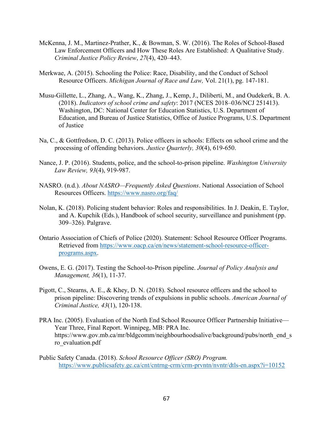- McKenna, J. M., Martinez-Prather, K., & Bowman, S. W. (2016). The Roles of School-Based Law Enforcement Officers and How These Roles Are Established: A Qualitative Study. *Criminal Justice Policy Review*, *27*(4), 420–443.
- Merkwae, A. (2015). Schooling the Police: Race, Disability, and the Conduct of School Resource Officers. *Michigan Journal of Race and Law,* Vol. 21(1), pg. 147-181.
- Musu-Gillette, L., Zhang, A., Wang, K., Zhang, J., Kemp, J., Diliberti, M., and Oudekerk, B. A. (2018). *Indicators of school crime and safety*: 2017 (NCES 2018–036/NCJ 251413). Washington, DC: National Center for Education Statistics, U.S. Department of Education, and Bureau of Justice Statistics, Office of Justice Programs, U.S. Department of Justice
- Na, C., & Gottfredson, D. C. (2013). Police officers in schools: Effects on school crime and the processing of offending behaviors. *Justice Quarterly, 30*(4), 619-650.
- Nance, J. P. (2016). Students, police, and the school-to-prison pipeline. *Washington University Law Review, 93*(4), 919-987.
- NASRO. (n.d.). *About NASRO—Frequently Asked Questions*. National Association of School Resources Officers.<https://www.nasro.org/faq/>
- Nolan, K. (2018). Policing student behavior: Roles and responsibilities. In J. Deakin, E. Taylor, and A. Kupchik (Eds.), Handbook of school security, surveillance and punishment (pp. 309–326). Palgrave.
- Ontario Association of Chiefs of Police (2020). Statement: School Resource Officer Programs. Retrieved from [https://www.oacp.ca/en/news/statement-school-resource-officer](https://www.oacp.ca/en/news/statement-school-resource-officer-programs.aspx)[programs.aspx.](https://www.oacp.ca/en/news/statement-school-resource-officer-programs.aspx)
- Owens, E. G. (2017). Testing the School‐to‐Prison pipeline. *Journal of Policy Analysis and Management, 36*(1), 11-37.
- Pigott, C., Stearns, A. E., & Khey, D. N. (2018). School resource officers and the school to prison pipeline: Discovering trends of expulsions in public schools. *American Journal of Criminal Justice, 43*(1), 120-138.
- PRA Inc. (2005). Evaluation of the North End School Resource Officer Partnership Initiative— Year Three, Final Report. Winnipeg, MB: PRA Inc. https://www.gov.mb.ca/mr/bldgcomm/neighbourhoodsalive/background/pubs/north\_end\_s ro\_evaluation.pdf
- Public Safety Canada. (2018). *School Resource Officer (SRO) Program.*  <https://www.publicsafety.gc.ca/cnt/cntrng-crm/crm-prvntn/nvntr/dtls-en.aspx?i=10152>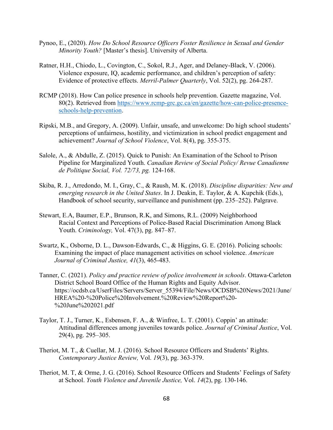- Pynoo, E., (2020). *How Do School Resource Officers Foster Resilience in Sexual and Gender Minority Youth?* [Master's thesis]. University of Alberta.
- Ratner, H.H., Chiodo, L., Covington, C., Sokol, R.J., Ager, and Delaney-Black, V. (2006). Violence exposure, IQ, academic performance, and children's perception of safety: Evidence of protective effects. *Merril-Palmer Quarterly*, Vol. 52(2), pg. 264-287.
- RCMP (2018). How Can police presence in schools help prevention. Gazette magazine, Vol. 80(2). Retrieved from [https://www.rcmp-grc.gc.ca/en/gazette/how-can-police-presence](https://www.rcmp-grc.gc.ca/en/gazette/how-can-police-presence-schools-help-prevention)[schools-help-prevention.](https://www.rcmp-grc.gc.ca/en/gazette/how-can-police-presence-schools-help-prevention)
- Ripski, M.B., and Gregory, A. (2009). Unfair, unsafe, and unwelcome: Do high school students' perceptions of unfairness, hostility, and victimization in school predict engagement and achievement? *Journal of School Violence*, Vol. 8(4), pg. 355-375.
- Salole, A., & Abdulle, Z. (2015). Quick to Punish: An Examination of the School to Prison Pipeline for Marginalized Youth. *Canadian Review of Social Policy/ Revue Canadienne de Politique Social, Vol. 72/73, pg.* 124-168.
- Skiba, R. J., Arredondo, M. I., Gray, C., & Raush, M. K. (2018). *Discipline disparities: New and emerging research in the United States*. In J. Deakin, E. Taylor, & A. Kupchik (Eds.), Handbook of school security, surveillance and punishment (pp. 235–252). Palgrave.
- Stewart, E.A, Baumer, E.P., Brunson, R.K, and Simons, R.L. (2009) Neighborhood Racial Context and Perceptions of Police-Based Racial Discrimination Among Black Youth. *Criminology,* Vol. 47(3), pg. 847–87.
- Swartz, K., Osborne, D. L., Dawson-Edwards, C., & Higgins, G. E. (2016). Policing schools: Examining the impact of place management activities on school violence. *American Journal of Criminal Justice, 41*(3), 465-483.
- Tanner, C. (2021). *Policy and practice review of police involvement in schools*. Ottawa-Carleton District School Board Office of the Human Rights and Equity Advisor. https://ocdsb.ca/UserFiles/Servers/Server\_55394/File/News/OCDSB%20News/2021/June/ HREA%20-%20Police%20Involvement.%20Review%20Report%20- %20June%202021.pdf
- Taylor, T. J., Turner, K., Esbensen, F. A., & Winfree, L. T. (2001). Coppin' an attitude: Attitudinal differences among juveniles towards police. *Journal of Criminal Justice*, Vol. 29(4), pg. 295–305.
- Theriot, M. T., & Cuellar, M. J. (2016). School Resource Officers and Students' Rights. *Contemporary Justice Review,* Vol. *19*(3), pg. 363-379.
- Theriot, M. T, & Orme, J. G. (2016). School Resource Officers and Students' Feelings of Safety at School. *Youth Violence and Juvenile Justice,* Vol. *14*(2), pg. 130-146.